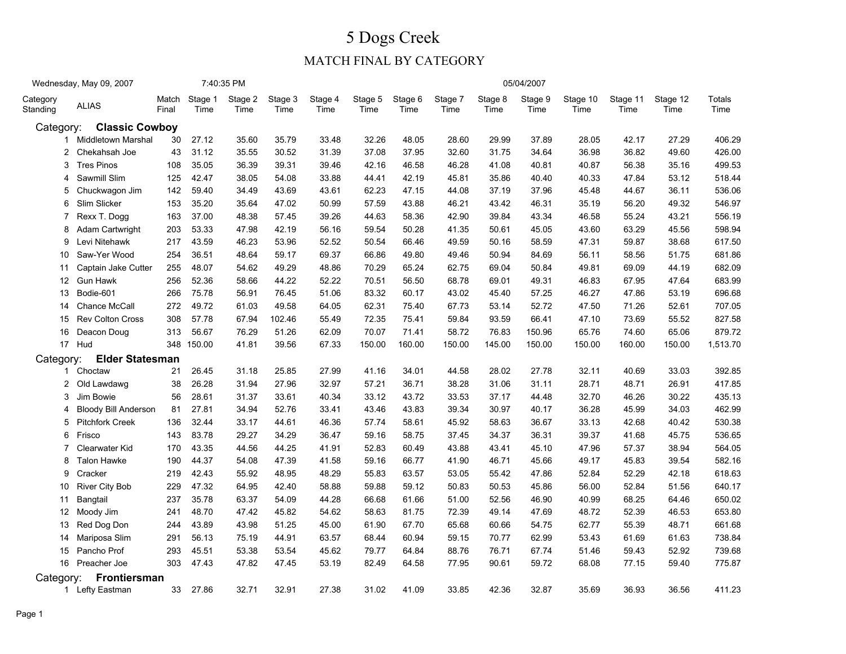|                      | Wednesday, May 09, 2007     |                |                 | 7:40:35 PM      |                 |                 |                 |                 |                 |                 | 05/04/2007      |                  |                  |                  |                |
|----------------------|-----------------------------|----------------|-----------------|-----------------|-----------------|-----------------|-----------------|-----------------|-----------------|-----------------|-----------------|------------------|------------------|------------------|----------------|
| Category<br>Standing | <b>ALIAS</b>                | Match<br>Final | Stage 1<br>Time | Stage 2<br>Time | Stage 3<br>Time | Stage 4<br>Time | Stage 5<br>Time | Stage 6<br>Time | Stage 7<br>Time | Stage 8<br>Time | Stage 9<br>Time | Stage 10<br>Time | Stage 11<br>Time | Stage 12<br>Time | Totals<br>Time |
| Category:            | <b>Classic Cowboy</b>       |                |                 |                 |                 |                 |                 |                 |                 |                 |                 |                  |                  |                  |                |
|                      | 1 Middletown Marshal        | 30             | 27.12           | 35.60           | 35.79           | 33.48           | 32.26           | 48.05           | 28.60           | 29.99           | 37.89           | 28.05            | 42.17            | 27.29            | 406.29         |
| 2                    | Chekahsah Joe               | 43             | 31.12           | 35.55           | 30.52           | 31.39           | 37.08           | 37.95           | 32.60           | 31.75           | 34.64           | 36.98            | 36.82            | 49.60            | 426.00         |
| 3                    | <b>Tres Pinos</b>           | 108            | 35.05           | 36.39           | 39.31           | 39.46           | 42.16           | 46.58           | 46.28           | 41.08           | 40.81           | 40.87            | 56.38            | 35.16            | 499.53         |
| 4                    | Sawmill Slim                | 125            | 42.47           | 38.05           | 54.08           | 33.88           | 44.41           | 42.19           | 45.81           | 35.86           | 40.40           | 40.33            | 47.84            | 53.12            | 518.44         |
| 5                    | Chuckwagon Jim              | 142            | 59.40           | 34.49           | 43.69           | 43.61           | 62.23           | 47.15           | 44.08           | 37.19           | 37.96           | 45.48            | 44.67            | 36.11            | 536.06         |
| 6                    | Slim Slicker                | 153            | 35.20           | 35.64           | 47.02           | 50.99           | 57.59           | 43.88           | 46.21           | 43.42           | 46.31           | 35.19            | 56.20            | 49.32            | 546.97         |
| 7                    | Rexx T. Dogg                | 163            | 37.00           | 48.38           | 57.45           | 39.26           | 44.63           | 58.36           | 42.90           | 39.84           | 43.34           | 46.58            | 55.24            | 43.21            | 556.19         |
| 8                    | Adam Cartwright             | 203            | 53.33           | 47.98           | 42.19           | 56.16           | 59.54           | 50.28           | 41.35           | 50.61           | 45.05           | 43.60            | 63.29            | 45.56            | 598.94         |
| 9                    | Levi Nitehawk               | 217            | 43.59           | 46.23           | 53.96           | 52.52           | 50.54           | 66.46           | 49.59           | 50.16           | 58.59           | 47.31            | 59.87            | 38.68            | 617.50         |
| 10                   | Saw-Yer Wood                | 254            | 36.51           | 48.64           | 59.17           | 69.37           | 66.86           | 49.80           | 49.46           | 50.94           | 84.69           | 56.11            | 58.56            | 51.75            | 681.86         |
| 11                   | Captain Jake Cutter         | 255            | 48.07           | 54.62           | 49.29           | 48.86           | 70.29           | 65.24           | 62.75           | 69.04           | 50.84           | 49.81            | 69.09            | 44.19            | 682.09         |
| 12                   | <b>Gun Hawk</b>             | 256            | 52.36           | 58.66           | 44.22           | 52.22           | 70.51           | 56.50           | 68.78           | 69.01           | 49.31           | 46.83            | 67.95            | 47.64            | 683.99         |
| 13                   | Bodie-601                   | 266            | 75.78           | 56.91           | 76.45           | 51.06           | 83.32           | 60.17           | 43.02           | 45.40           | 57.25           | 46.27            | 47.86            | 53.19            | 696.68         |
| 14                   | Chance McCall               | 272            | 49.72           | 61.03           | 49.58           | 64.05           | 62.31           | 75.40           | 67.73           | 53.14           | 52.72           | 47.50            | 71.26            | 52.61            | 707.05         |
| 15                   | <b>Rev Colton Cross</b>     | 308            | 57.78           | 67.94           | 102.46          | 55.49           | 72.35           | 75.41           | 59.84           | 93.59           | 66.41           | 47.10            | 73.69            | 55.52            | 827.58         |
| 16                   | Deacon Doug                 | 313            | 56.67           | 76.29           | 51.26           | 62.09           | 70.07           | 71.41           | 58.72           | 76.83           | 150.96          | 65.76            | 74.60            | 65.06            | 879.72         |
|                      | 17 Hud                      | 348            | 150.00          | 41.81           | 39.56           | 67.33           | 150.00          | 160.00          | 150.00          | 145.00          | 150.00          | 150.00           | 160.00           | 150.00           | 1,513.70       |
| Category:            | <b>Elder Statesman</b>      |                |                 |                 |                 |                 |                 |                 |                 |                 |                 |                  |                  |                  |                |
|                      | 1 Choctaw                   | 21             | 26.45           | 31.18           | 25.85           | 27.99           | 41.16           | 34.01           | 44.58           | 28.02           | 27.78           | 32.11            | 40.69            | 33.03            | 392.85         |
| 2                    | Old Lawdawg                 | 38             | 26.28           | 31.94           | 27.96           | 32.97           | 57.21           | 36.71           | 38.28           | 31.06           | 31.11           | 28.71            | 48.71            | 26.91            | 417.85         |
| 3                    | Jim Bowie                   | 56             | 28.61           | 31.37           | 33.61           | 40.34           | 33.12           | 43.72           | 33.53           | 37.17           | 44.48           | 32.70            | 46.26            | 30.22            | 435.13         |
| 4                    | <b>Bloody Bill Anderson</b> | 81             | 27.81           | 34.94           | 52.76           | 33.41           | 43.46           | 43.83           | 39.34           | 30.97           | 40.17           | 36.28            | 45.99            | 34.03            | 462.99         |
| 5                    | <b>Pitchfork Creek</b>      | 136            | 32.44           | 33.17           | 44.61           | 46.36           | 57.74           | 58.61           | 45.92           | 58.63           | 36.67           | 33.13            | 42.68            | 40.42            | 530.38         |
| 6                    | Frisco                      | 143            | 83.78           | 29.27           | 34.29           | 36.47           | 59.16           | 58.75           | 37.45           | 34.37           | 36.31           | 39.37            | 41.68            | 45.75            | 536.65         |
| 7                    | <b>Clearwater Kid</b>       | 170            | 43.35           | 44.56           | 44.25           | 41.91           | 52.83           | 60.49           | 43.88           | 43.41           | 45.10           | 47.96            | 57.37            | 38.94            | 564.05         |
| 8                    | <b>Talon Hawke</b>          | 190            | 44.37           | 54.08           | 47.39           | 41.58           | 59.16           | 66.77           | 41.90           | 46.71           | 45.66           | 49.17            | 45.83            | 39.54            | 582.16         |
| 9                    | Cracker                     | 219            | 42.43           | 55.92           | 48.95           | 48.29           | 55.83           | 63.57           | 53.05           | 55.42           | 47.86           | 52.84            | 52.29            | 42.18            | 618.63         |
| 10                   | <b>River City Bob</b>       | 229            | 47.32           | 64.95           | 42.40           | 58.88           | 59.88           | 59.12           | 50.83           | 50.53           | 45.86           | 56.00            | 52.84            | 51.56            | 640.17         |
| 11                   | Bangtail                    | 237            | 35.78           | 63.37           | 54.09           | 44.28           | 66.68           | 61.66           | 51.00           | 52.56           | 46.90           | 40.99            | 68.25            | 64.46            | 650.02         |
| 12                   | Moody Jim                   | 241            | 48.70           | 47.42           | 45.82           | 54.62           | 58.63           | 81.75           | 72.39           | 49.14           | 47.69           | 48.72            | 52.39            | 46.53            | 653.80         |
| 13                   | Red Dog Don                 | 244            | 43.89           | 43.98           | 51.25           | 45.00           | 61.90           | 67.70           | 65.68           | 60.66           | 54.75           | 62.77            | 55.39            | 48.71            | 661.68         |
| 14                   | Mariposa Slim               | 291            | 56.13           | 75.19           | 44.91           | 63.57           | 68.44           | 60.94           | 59.15           | 70.77           | 62.99           | 53.43            | 61.69            | 61.63            | 738.84         |
| 15                   | Pancho Prof                 | 293            | 45.51           | 53.38           | 53.54           | 45.62           | 79.77           | 64.84           | 88.76           | 76.71           | 67.74           | 51.46            | 59.43            | 52.92            | 739.68         |
|                      | 16 Preacher Joe             | 303            | 47.43           | 47.82           | 47.45           | 53.19           | 82.49           | 64.58           | 77.95           | 90.61           | 59.72           | 68.08            | 77.15            | 59.40            | 775.87         |
| Category:            | Frontiersman                |                |                 |                 |                 |                 |                 |                 |                 |                 |                 |                  |                  |                  |                |
|                      | 1 Lefty Eastman             | 33             | 27.86           | 32.71           | 32.91           | 27.38           | 31.02           | 41.09           | 33.85           | 42.36           | 32.87           | 35.69            | 36.93            | 36.56            | 411.23         |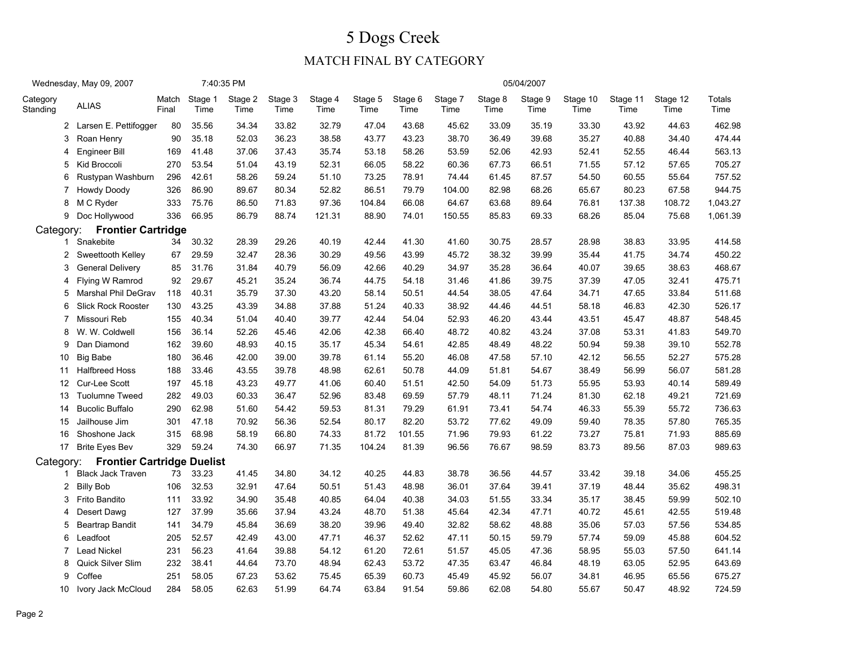|                      | Wednesday, May 09, 2007           |                |                 | 7:40:35 PM      |                 |                 |                 |                 |                 |                 | 05/04/2007      |                  |                  |                  |                |
|----------------------|-----------------------------------|----------------|-----------------|-----------------|-----------------|-----------------|-----------------|-----------------|-----------------|-----------------|-----------------|------------------|------------------|------------------|----------------|
| Category<br>Standing | <b>ALIAS</b>                      | Match<br>Final | Stage 1<br>Time | Stage 2<br>Time | Stage 3<br>Time | Stage 4<br>Time | Stage 5<br>Time | Stage 6<br>Time | Stage 7<br>Time | Stage 8<br>Time | Stage 9<br>Time | Stage 10<br>Time | Stage 11<br>Time | Stage 12<br>Time | Totals<br>Time |
|                      | 2 Larsen E. Pettifogger           | 80             | 35.56           | 34.34           | 33.82           | 32.79           | 47.04           | 43.68           | 45.62           | 33.09           | 35.19           | 33.30            | 43.92            | 44.63            | 462.98         |
| 3                    | Roan Henry                        | 90             | 35.18           | 52.03           | 36.23           | 38.58           | 43.77           | 43.23           | 38.70           | 36.49           | 39.68           | 35.27            | 40.88            | 34.40            | 474.44         |
| 4                    | Engineer Bill                     | 169            | 41.48           | 37.06           | 37.43           | 35.74           | 53.18           | 58.26           | 53.59           | 52.06           | 42.93           | 52.41            | 52.55            | 46.44            | 563.13         |
| 5                    | Kid Broccoli                      | 270            | 53.54           | 51.04           | 43.19           | 52.31           | 66.05           | 58.22           | 60.36           | 67.73           | 66.51           | 71.55            | 57.12            | 57.65            | 705.27         |
| 6                    | Rustypan Washburn                 | 296            | 42.61           | 58.26           | 59.24           | 51.10           | 73.25           | 78.91           | 74.44           | 61.45           | 87.57           | 54.50            | 60.55            | 55.64            | 757.52         |
| 7                    | Howdy Doody                       | 326            | 86.90           | 89.67           | 80.34           | 52.82           | 86.51           | 79.79           | 104.00          | 82.98           | 68.26           | 65.67            | 80.23            | 67.58            | 944.75         |
| 8                    | M C Ryder                         | 333            | 75.76           | 86.50           | 71.83           | 97.36           | 104.84          | 66.08           | 64.67           | 63.68           | 89.64           | 76.81            | 137.38           | 108.72           | 1,043.27       |
| 9                    | Doc Hollywood                     | 336            | 66.95           | 86.79           | 88.74           | 121.31          | 88.90           | 74.01           | 150.55          | 85.83           | 69.33           | 68.26            | 85.04            | 75.68            | 1,061.39       |
| Category:            | <b>Frontier Cartridge</b>         |                |                 |                 |                 |                 |                 |                 |                 |                 |                 |                  |                  |                  |                |
|                      | 1 Snakebite                       | 34             | 30.32           | 28.39           | 29.26           | 40.19           | 42.44           | 41.30           | 41.60           | 30.75           | 28.57           | 28.98            | 38.83            | 33.95            | 414.58         |
| 2                    | Sweettooth Kelley                 | 67             | 29.59           | 32.47           | 28.36           | 30.29           | 49.56           | 43.99           | 45.72           | 38.32           | 39.99           | 35.44            | 41.75            | 34.74            | 450.22         |
| 3                    | <b>General Delivery</b>           | 85             | 31.76           | 31.84           | 40.79           | 56.09           | 42.66           | 40.29           | 34.97           | 35.28           | 36.64           | 40.07            | 39.65            | 38.63            | 468.67         |
| 4                    | Flying W Ramrod                   | 92             | 29.67           | 45.21           | 35.24           | 36.74           | 44.75           | 54.18           | 31.46           | 41.86           | 39.75           | 37.39            | 47.05            | 32.41            | 475.71         |
| 5                    | Marshal Phil DeGrav               | 118            | 40.31           | 35.79           | 37.30           | 43.20           | 58.14           | 50.51           | 44.54           | 38.05           | 47.64           | 34.71            | 47.65            | 33.84            | 511.68         |
| 6                    | <b>Slick Rock Rooster</b>         | 130            | 43.25           | 43.39           | 34.88           | 37.88           | 51.24           | 40.33           | 38.92           | 44.46           | 44.51           | 58.18            | 46.83            | 42.30            | 526.17         |
| $\overline{7}$       | Missouri Reb                      | 155            | 40.34           | 51.04           | 40.40           | 39.77           | 42.44           | 54.04           | 52.93           | 46.20           | 43.44           | 43.51            | 45.47            | 48.87            | 548.45         |
| 8                    | W. W. Coldwell                    | 156            | 36.14           | 52.26           | 45.46           | 42.06           | 42.38           | 66.40           | 48.72           | 40.82           | 43.24           | 37.08            | 53.31            | 41.83            | 549.70         |
| 9                    | Dan Diamond                       | 162            | 39.60           | 48.93           | 40.15           | 35.17           | 45.34           | 54.61           | 42.85           | 48.49           | 48.22           | 50.94            | 59.38            | 39.10            | 552.78         |
| 10                   | <b>Big Babe</b>                   | 180            | 36.46           | 42.00           | 39.00           | 39.78           | 61.14           | 55.20           | 46.08           | 47.58           | 57.10           | 42.12            | 56.55            | 52.27            | 575.28         |
| 11                   | <b>Halfbreed Hoss</b>             | 188            | 33.46           | 43.55           | 39.78           | 48.98           | 62.61           | 50.78           | 44.09           | 51.81           | 54.67           | 38.49            | 56.99            | 56.07            | 581.28         |
| 12                   | Cur-Lee Scott                     | 197            | 45.18           | 43.23           | 49.77           | 41.06           | 60.40           | 51.51           | 42.50           | 54.09           | 51.73           | 55.95            | 53.93            | 40.14            | 589.49         |
| 13                   | <b>Tuolumne Tweed</b>             | 282            | 49.03           | 60.33           | 36.47           | 52.96           | 83.48           | 69.59           | 57.79           | 48.11           | 71.24           | 81.30            | 62.18            | 49.21            | 721.69         |
| 14                   | <b>Bucolic Buffalo</b>            | 290            | 62.98           | 51.60           | 54.42           | 59.53           | 81.31           | 79.29           | 61.91           | 73.41           | 54.74           | 46.33            | 55.39            | 55.72            | 736.63         |
| 15                   | Jailhouse Jim                     | 301            | 47.18           | 70.92           | 56.36           | 52.54           | 80.17           | 82.20           | 53.72           | 77.62           | 49.09           | 59.40            | 78.35            | 57.80            | 765.35         |
| 16                   | Shoshone Jack                     | 315            | 68.98           | 58.19           | 66.80           | 74.33           | 81.72           | 101.55          | 71.96           | 79.93           | 61.22           | 73.27            | 75.81            | 71.93            | 885.69         |
|                      | 17 Brite Eyes Bev                 | 329            | 59.24           | 74.30           | 66.97           | 71.35           | 104.24          | 81.39           | 96.56           | 76.67           | 98.59           | 83.73            | 89.56            | 87.03            | 989.63         |
| Category:            | <b>Frontier Cartridge Duelist</b> |                |                 |                 |                 |                 |                 |                 |                 |                 |                 |                  |                  |                  |                |
| 1                    | <b>Black Jack Traven</b>          | 73             | 33.23           | 41.45           | 34.80           | 34.12           | 40.25           | 44.83           | 38.78           | 36.56           | 44.57           | 33.42            | 39.18            | 34.06            | 455.25         |
| 2                    | <b>Billy Bob</b>                  | 106            | 32.53           | 32.91           | 47.64           | 50.51           | 51.43           | 48.98           | 36.01           | 37.64           | 39.41           | 37.19            | 48.44            | 35.62            | 498.31         |
| 3                    | Frito Bandito                     | 111            | 33.92           | 34.90           | 35.48           | 40.85           | 64.04           | 40.38           | 34.03           | 51.55           | 33.34           | 35.17            | 38.45            | 59.99            | 502.10         |
| 4                    | Desert Dawg                       | 127            | 37.99           | 35.66           | 37.94           | 43.24           | 48.70           | 51.38           | 45.64           | 42.34           | 47.71           | 40.72            | 45.61            | 42.55            | 519.48         |
| 5                    | <b>Beartrap Bandit</b>            | 141            | 34.79           | 45.84           | 36.69           | 38.20           | 39.96           | 49.40           | 32.82           | 58.62           | 48.88           | 35.06            | 57.03            | 57.56            | 534.85         |
| 6                    | Leadfoot                          | 205            | 52.57           | 42.49           | 43.00           | 47.71           | 46.37           | 52.62           | 47.11           | 50.15           | 59.79           | 57.74            | 59.09            | 45.88            | 604.52         |
| 7                    | <b>Lead Nickel</b>                | 231            | 56.23           | 41.64           | 39.88           | 54.12           | 61.20           | 72.61           | 51.57           | 45.05           | 47.36           | 58.95            | 55.03            | 57.50            | 641.14         |
| 8                    | Quick Silver Slim                 | 232            | 38.41           | 44.64           | 73.70           | 48.94           | 62.43           | 53.72           | 47.35           | 63.47           | 46.84           | 48.19            | 63.05            | 52.95            | 643.69         |
| 9                    | Coffee                            | 251            | 58.05           | 67.23           | 53.62           | 75.45           | 65.39           | 60.73           | 45.49           | 45.92           | 56.07           | 34.81            | 46.95            | 65.56            | 675.27         |
| 10                   | Ivory Jack McCloud                | 284            | 58.05           | 62.63           | 51.99           | 64.74           | 63.84           | 91.54           | 59.86           | 62.08           | 54.80           | 55.67            | 50.47            | 48.92            | 724.59         |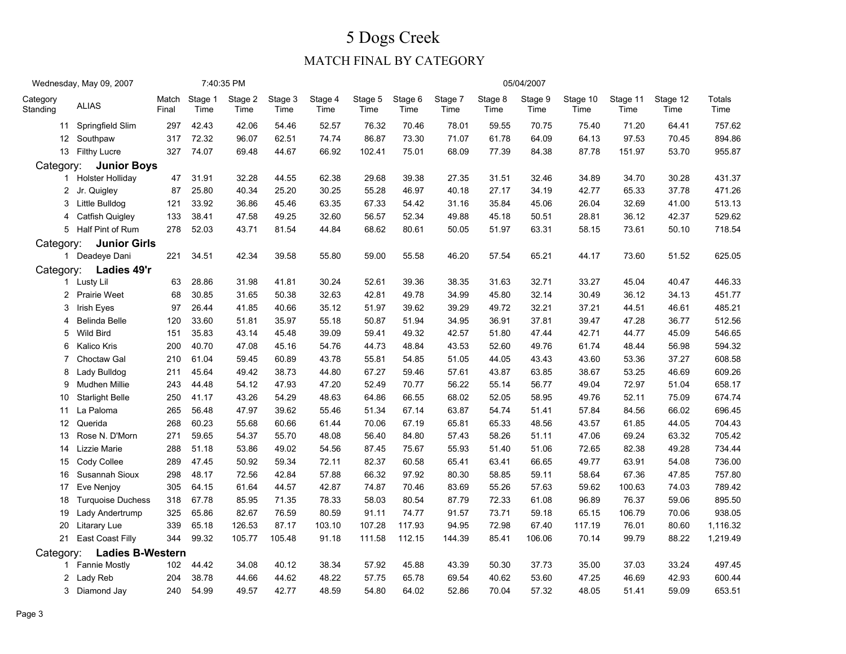### 5 Dogs CreekMATCH FINAL BY CATEGORY

|                      | Wednesday, May 09, 2007  |                |                 | 7:40:35 PM      |                 |                 |                 |                 |                 |                 | 05/04/2007      |                  |                  |                  |                |
|----------------------|--------------------------|----------------|-----------------|-----------------|-----------------|-----------------|-----------------|-----------------|-----------------|-----------------|-----------------|------------------|------------------|------------------|----------------|
| Category<br>Standing | <b>ALIAS</b>             | Match<br>Final | Stage 1<br>Time | Stage 2<br>Time | Stage 3<br>Time | Stage 4<br>Time | Stage 5<br>Time | Stage 6<br>Time | Stage 7<br>Time | Stage 8<br>Time | Stage 9<br>Time | Stage 10<br>Time | Stage 11<br>Time | Stage 12<br>Time | Totals<br>Time |
|                      | 11 Springfield Slim      | 297            | 42.43           | 42.06           | 54.46           | 52.57           | 76.32           | 70.46           | 78.01           | 59.55           | 70.75           | 75.40            | 71.20            | 64.41            | 757.62         |
|                      | 12 Southpaw              | 317            | 72.32           | 96.07           | 62.51           | 74.74           | 86.87           | 73.30           | 71.07           | 61.78           | 64.09           | 64.13            | 97.53            | 70.45            | 894.86         |
|                      | 13 Filthy Lucre          | 327            | 74.07           | 69.48           | 44.67           | 66.92           | 102.41          | 75.01           | 68.09           | 77.39           | 84.38           | 87.78            | 151.97           | 53.70            | 955.87         |
| Category:            | <b>Junior Boys</b>       |                |                 |                 |                 |                 |                 |                 |                 |                 |                 |                  |                  |                  |                |
|                      | 1 Holster Holliday       | 47             | 31.91           | 32.28           | 44.55           | 62.38           | 29.68           | 39.38           | 27.35           | 31.51           | 32.46           | 34.89            | 34.70            | 30.28            | 431.37         |
|                      | 2 Jr. Quigley            | 87             | 25.80           | 40.34           | 25.20           | 30.25           | 55.28           | 46.97           | 40.18           | 27.17           | 34.19           | 42.77            | 65.33            | 37.78            | 471.26         |
| 3                    | Little Bulldog           | 121            | 33.92           | 36.86           | 45.46           | 63.35           | 67.33           | 54.42           | 31.16           | 35.84           | 45.06           | 26.04            | 32.69            | 41.00            | 513.13         |
| 4                    | Catfish Quigley          | 133            | 38.41           | 47.58           | 49.25           | 32.60           | 56.57           | 52.34           | 49.88           | 45.18           | 50.51           | 28.81            | 36.12            | 42.37            | 529.62         |
|                      | 5 Half Pint of Rum       | 278            | 52.03           | 43.71           | 81.54           | 44.84           | 68.62           | 80.61           | 50.05           | 51.97           | 63.31           | 58.15            | 73.61            | 50.10            | 718.54         |
| Category:            | <b>Junior Girls</b>      |                |                 |                 |                 |                 |                 |                 |                 |                 |                 |                  |                  |                  |                |
|                      | 1 Deadeye Dani           | 221            | 34.51           | 42.34           | 39.58           | 55.80           | 59.00           | 55.58           | 46.20           | 57.54           | 65.21           | 44.17            | 73.60            | 51.52            | 625.05         |
| Category:            | Ladies 49'r              |                |                 |                 |                 |                 |                 |                 |                 |                 |                 |                  |                  |                  |                |
|                      | 1 Lusty Lil              | 63             | 28.86           | 31.98           | 41.81           | 30.24           | 52.61           | 39.36           | 38.35           | 31.63           | 32.71           | 33.27            | 45.04            | 40.47            | 446.33         |
|                      | 2 Prairie Weet           | 68             | 30.85           | 31.65           | 50.38           | 32.63           | 42.81           | 49.78           | 34.99           | 45.80           | 32.14           | 30.49            | 36.12            | 34.13            | 451.77         |
| 3                    | Irish Eyes               | 97             | 26.44           | 41.85           | 40.66           | 35.12           | 51.97           | 39.62           | 39.29           | 49.72           | 32.21           | 37.21            | 44.51            | 46.61            | 485.21         |
| 4                    | Belinda Belle            | 120            | 33.60           | 51.81           | 35.97           | 55.18           | 50.87           | 51.94           | 34.95           | 36.91           | 37.81           | 39.47            | 47.28            | 36.77            | 512.56         |
| 5                    | <b>Wild Bird</b>         | 151            | 35.83           | 43.14           | 45.48           | 39.09           | 59.41           | 49.32           | 42.57           | 51.80           | 47.44           | 42.71            | 44.77            | 45.09            | 546.65         |
| 6                    | Kalico Kris              | 200            | 40.70           | 47.08           | 45.16           | 54.76           | 44.73           | 48.84           | 43.53           | 52.60           | 49.76           | 61.74            | 48.44            | 56.98            | 594.32         |
| 7                    | Choctaw Gal              | 210            | 61.04           | 59.45           | 60.89           | 43.78           | 55.81           | 54.85           | 51.05           | 44.05           | 43.43           | 43.60            | 53.36            | 37.27            | 608.58         |
| 8                    | Lady Bulldog             | 211            | 45.64           | 49.42           | 38.73           | 44.80           | 67.27           | 59.46           | 57.61           | 43.87           | 63.85           | 38.67            | 53.25            | 46.69            | 609.26         |
| 9                    | Mudhen Millie            | 243            | 44.48           | 54.12           | 47.93           | 47.20           | 52.49           | 70.77           | 56.22           | 55.14           | 56.77           | 49.04            | 72.97            | 51.04            | 658.17         |
| 10                   | <b>Starlight Belle</b>   | 250            | 41.17           | 43.26           | 54.29           | 48.63           | 64.86           | 66.55           | 68.02           | 52.05           | 58.95           | 49.76            | 52.11            | 75.09            | 674.74         |
| 11                   | La Paloma                | 265            | 56.48           | 47.97           | 39.62           | 55.46           | 51.34           | 67.14           | 63.87           | 54.74           | 51.41           | 57.84            | 84.56            | 66.02            | 696.45         |
| 12 <sup>2</sup>      | Querida                  | 268            | 60.23           | 55.68           | 60.66           | 61.44           | 70.06           | 67.19           | 65.81           | 65.33           | 48.56           | 43.57            | 61.85            | 44.05            | 704.43         |
| 13                   | Rose N. D'Morn           | 271            | 59.65           | 54.37           | 55.70           | 48.08           | 56.40           | 84.80           | 57.43           | 58.26           | 51.11           | 47.06            | 69.24            | 63.32            | 705.42         |
| 14                   | Lizzie Marie             | 288            | 51.18           | 53.86           | 49.02           | 54.56           | 87.45           | 75.67           | 55.93           | 51.40           | 51.06           | 72.65            | 82.38            | 49.28            | 734.44         |
| 15                   | Cody Collee              | 289            | 47.45           | 50.92           | 59.34           | 72.11           | 82.37           | 60.58           | 65.41           | 63.41           | 66.65           | 49.77            | 63.91            | 54.08            | 736.00         |
| 16                   | Susannah Sioux           | 298            | 48.17           | 72.56           | 42.84           | 57.88           | 66.32           | 97.92           | 80.30           | 58.85           | 59.11           | 58.64            | 67.36            | 47.85            | 757.80         |
| 17                   | Eve Nenjoy               | 305            | 64.15           | 61.64           | 44.57           | 42.87           | 74.87           | 70.46           | 83.69           | 55.26           | 57.63           | 59.62            | 100.63           | 74.03            | 789.42         |
| 18                   | <b>Turquoise Duchess</b> | 318            | 67.78           | 85.95           | 71.35           | 78.33           | 58.03           | 80.54           | 87.79           | 72.33           | 61.08           | 96.89            | 76.37            | 59.06            | 895.50         |
| 19                   | Lady Andertrump          | 325            | 65.86           | 82.67           | 76.59           | 80.59           | 91.11           | 74.77           | 91.57           | 73.71           | 59.18           | 65.15            | 106.79           | 70.06            | 938.05         |
| 20                   | <b>Litarary Lue</b>      | 339            | 65.18           | 126.53          | 87.17           | 103.10          | 107.28          | 117.93          | 94.95           | 72.98           | 67.40           | 117.19           | 76.01            | 80.60            | 1,116.32       |
| 21                   | East Coast Filly         | 344            | 99.32           | 105.77          | 105.48          | 91.18           | 111.58          | 112.15          | 144.39          | 85.41           | 106.06          | 70.14            | 99.79            | 88.22            | 1,219.49       |
| Category:            | <b>Ladies B-Western</b>  |                |                 |                 |                 |                 |                 |                 |                 |                 |                 |                  |                  |                  |                |
|                      | 1 Fannie Mostly          | 102            | 44.42           | 34.08           | 40.12           | 38.34           | 57.92           | 45.88           | 43.39           | 50.30           | 37.73           | 35.00            | 37.03            | 33.24            | 497.45         |
|                      | 2 Lady Reb               | 204            | 38.78           | 44.66           | 44.62           | 48.22           | 57.75           | 65.78           | 69.54           | 40.62           | 53.60           | 47.25            | 46.69            | 42.93            | 600.44         |
|                      | 3 Diamond Jay            | 240            | 54.99           | 49.57           | 42.77           | 48.59           | 54.80           | 64.02           | 52.86           | 70.04           | 57.32           | 48.05            | 51.41            | 59.09            | 653.51         |
|                      |                          |                |                 |                 |                 |                 |                 |                 |                 |                 |                 |                  |                  |                  |                |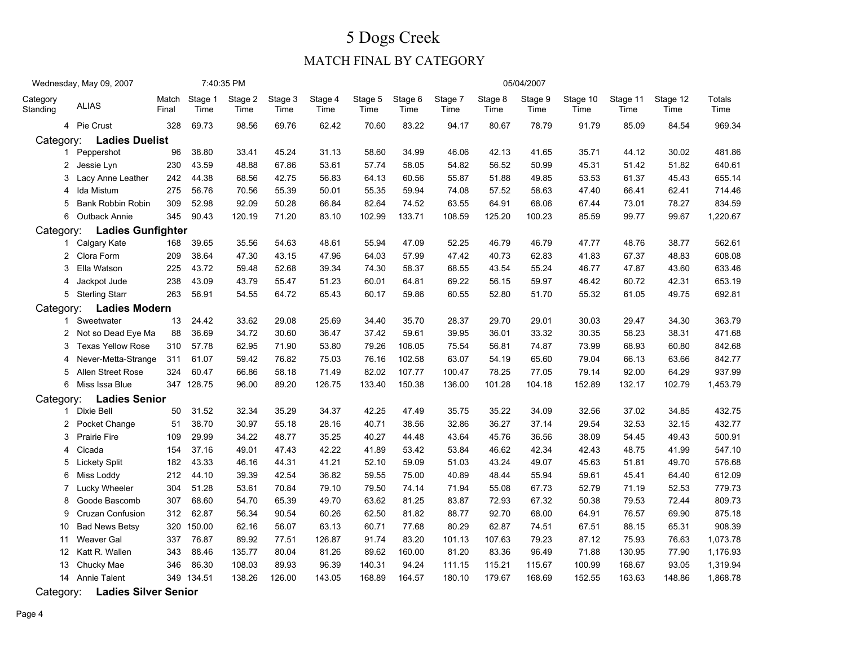### MATCH FINAL BY CATEGORY

|                      | Wednesday, May 09, 2007  |                |                 | 7:40:35 PM      |                 |                 |                 |                 |                 |                 | 05/04/2007      |                  |                  |                  |                |
|----------------------|--------------------------|----------------|-----------------|-----------------|-----------------|-----------------|-----------------|-----------------|-----------------|-----------------|-----------------|------------------|------------------|------------------|----------------|
| Category<br>Standing | <b>ALIAS</b>             | Match<br>Final | Stage 1<br>Time | Stage 2<br>Time | Stage 3<br>Time | Stage 4<br>Time | Stage 5<br>Time | Stage 6<br>Time | Stage 7<br>Time | Stage 8<br>Time | Stage 9<br>Time | Stage 10<br>Time | Stage 11<br>Time | Stage 12<br>Time | Totals<br>Time |
|                      | 4 Pie Crust              | 328            | 69.73           | 98.56           | 69.76           | 62.42           | 70.60           | 83.22           | 94.17           | 80.67           | 78.79           | 91.79            | 85.09            | 84.54            | 969.34         |
| Category:            | <b>Ladies Duelist</b>    |                |                 |                 |                 |                 |                 |                 |                 |                 |                 |                  |                  |                  |                |
| 1                    | Peppershot               | 96             | 38.80           | 33.41           | 45.24           | 31.13           | 58.60           | 34.99           | 46.06           | 42.13           | 41.65           | 35.71            | 44.12            | 30.02            | 481.86         |
| $\mathbf{2}$         | Jessie Lyn               | 230            | 43.59           | 48.88           | 67.86           | 53.61           | 57.74           | 58.05           | 54.82           | 56.52           | 50.99           | 45.31            | 51.42            | 51.82            | 640.61         |
| 3                    | Lacy Anne Leather        | 242            | 44.38           | 68.56           | 42.75           | 56.83           | 64.13           | 60.56           | 55.87           | 51.88           | 49.85           | 53.53            | 61.37            | 45.43            | 655.14         |
| 4                    | Ida Mistum               | 275            | 56.76           | 70.56           | 55.39           | 50.01           | 55.35           | 59.94           | 74.08           | 57.52           | 58.63           | 47.40            | 66.41            | 62.41            | 714.46         |
| 5                    | Bank Robbin Robin        | 309            | 52.98           | 92.09           | 50.28           | 66.84           | 82.64           | 74.52           | 63.55           | 64.91           | 68.06           | 67.44            | 73.01            | 78.27            | 834.59         |
| 6                    | Outback Annie            | 345            | 90.43           | 120.19          | 71.20           | 83.10           | 102.99          | 133.71          | 108.59          | 125.20          | 100.23          | 85.59            | 99.77            | 99.67            | 1,220.67       |
| Category:            | <b>Ladies Gunfighter</b> |                |                 |                 |                 |                 |                 |                 |                 |                 |                 |                  |                  |                  |                |
|                      | 1 Calgary Kate           | 168            | 39.65           | 35.56           | 54.63           | 48.61           | 55.94           | 47.09           | 52.25           | 46.79           | 46.79           | 47.77            | 48.76            | 38.77            | 562.61         |
| 2                    | Clora Form               | 209            | 38.64           | 47.30           | 43.15           | 47.96           | 64.03           | 57.99           | 47.42           | 40.73           | 62.83           | 41.83            | 67.37            | 48.83            | 608.08         |
| 3                    | Ella Watson              | 225            | 43.72           | 59.48           | 52.68           | 39.34           | 74.30           | 58.37           | 68.55           | 43.54           | 55.24           | 46.77            | 47.87            | 43.60            | 633.46         |
| 4                    | Jackpot Jude             | 238            | 43.09           | 43.79           | 55.47           | 51.23           | 60.01           | 64.81           | 69.22           | 56.15           | 59.97           | 46.42            | 60.72            | 42.31            | 653.19         |
|                      | 5 Sterling Starr         | 263            | 56.91           | 54.55           | 64.72           | 65.43           | 60.17           | 59.86           | 60.55           | 52.80           | 51.70           | 55.32            | 61.05            | 49.75            | 692.81         |
| Category:            | <b>Ladies Modern</b>     |                |                 |                 |                 |                 |                 |                 |                 |                 |                 |                  |                  |                  |                |
|                      | 1 Sweetwater             | 13             | 24.42           | 33.62           | 29.08           | 25.69           | 34.40           | 35.70           | 28.37           | 29.70           | 29.01           | 30.03            | 29.47            | 34.30            | 363.79         |
|                      | 2 Not so Dead Eye Ma     | 88             | 36.69           | 34.72           | 30.60           | 36.47           | 37.42           | 59.61           | 39.95           | 36.01           | 33.32           | 30.35            | 58.23            | 38.31            | 471.68         |
| 3                    | <b>Texas Yellow Rose</b> | 310            | 57.78           | 62.95           | 71.90           | 53.80           | 79.26           | 106.05          | 75.54           | 56.81           | 74.87           | 73.99            | 68.93            | 60.80            | 842.68         |
| 4                    | Never-Metta-Strange      | 311            | 61.07           | 59.42           | 76.82           | 75.03           | 76.16           | 102.58          | 63.07           | 54.19           | 65.60           | 79.04            | 66.13            | 63.66            | 842.77         |
| 5                    | Allen Street Rose        | 324            | 60.47           | 66.86           | 58.18           | 71.49           | 82.02           | 107.77          | 100.47          | 78.25           | 77.05           | 79.14            | 92.00            | 64.29            | 937.99         |
| 6                    | Miss Issa Blue           |                | 347 128.75      | 96.00           | 89.20           | 126.75          | 133.40          | 150.38          | 136.00          | 101.28          | 104.18          | 152.89           | 132.17           | 102.79           | 1,453.79       |
| Category:            | <b>Ladies Senior</b>     |                |                 |                 |                 |                 |                 |                 |                 |                 |                 |                  |                  |                  |                |
| 1                    | Dixie Bell               | 50             | 31.52           | 32.34           | 35.29           | 34.37           | 42.25           | 47.49           | 35.75           | 35.22           | 34.09           | 32.56            | 37.02            | 34.85            | 432.75         |
|                      | 2 Pocket Change          | 51             | 38.70           | 30.97           | 55.18           | 28.16           | 40.71           | 38.56           | 32.86           | 36.27           | 37.14           | 29.54            | 32.53            | 32.15            | 432.77         |
| 3                    | <b>Prairie Fire</b>      | 109            | 29.99           | 34.22           | 48.77           | 35.25           | 40.27           | 44.48           | 43.64           | 45.76           | 36.56           | 38.09            | 54.45            | 49.43            | 500.91         |
| 4                    | Cicada                   | 154            | 37.16           | 49.01           | 47.43           | 42.22           | 41.89           | 53.42           | 53.84           | 46.62           | 42.34           | 42.43            | 48.75            | 41.99            | 547.10         |
| 5                    | <b>Lickety Split</b>     | 182            | 43.33           | 46.16           | 44.31           | 41.21           | 52.10           | 59.09           | 51.03           | 43.24           | 49.07           | 45.63            | 51.81            | 49.70            | 576.68         |
| 6                    | Miss Loddy               | 212            | 44.10           | 39.39           | 42.54           | 36.82           | 59.55           | 75.00           | 40.89           | 48.44           | 55.94           | 59.61            | 45.41            | 64.40            | 612.09         |
| 7                    | Lucky Wheeler            | 304            | 51.28           | 53.61           | 70.84           | 79.10           | 79.50           | 74.14           | 71.94           | 55.08           | 67.73           | 52.79            | 71.19            | 52.53            | 779.73         |
| 8                    | Goode Bascomb            | 307            | 68.60           | 54.70           | 65.39           | 49.70           | 63.62           | 81.25           | 83.87           | 72.93           | 67.32           | 50.38            | 79.53            | 72.44            | 809.73         |
| 9                    | <b>Cruzan Confusion</b>  | 312            | 62.87           | 56.34           | 90.54           | 60.26           | 62.50           | 81.82           | 88.77           | 92.70           | 68.00           | 64.91            | 76.57            | 69.90            | 875.18         |
| 10                   | <b>Bad News Betsy</b>    | 320            | 150.00          | 62.16           | 56.07           | 63.13           | 60.71           | 77.68           | 80.29           | 62.87           | 74.51           | 67.51            | 88.15            | 65.31            | 908.39         |
| 11                   | Weaver Gal               | 337            | 76.87           | 89.92           | 77.51           | 126.87          | 91.74           | 83.20           | 101.13          | 107.63          | 79.23           | 87.12            | 75.93            | 76.63            | 1,073.78       |
| 12 <sup>2</sup>      | Katt R. Wallen           | 343            | 88.46           | 135.77          | 80.04           | 81.26           | 89.62           | 160.00          | 81.20           | 83.36           | 96.49           | 71.88            | 130.95           | 77.90            | 1,176.93       |
| 13                   | Chucky Mae               | 346            | 86.30           | 108.03          | 89.93           | 96.39           | 140.31          | 94.24           | 111.15          | 115.21          | 115.67          | 100.99           | 168.67           | 93.05            | 1,319.94       |
|                      | 14 Annie Talent          |                | 349 134.51      | 138.26          | 126.00          | 143.05          | 168.89          | 164.57          | 180.10          | 179.67          | 168.69          | 152.55           | 163.63           | 148.86           | 1,868.78       |
|                      |                          |                |                 |                 |                 |                 |                 |                 |                 |                 |                 |                  |                  |                  |                |

Category: Ladies Silver Senior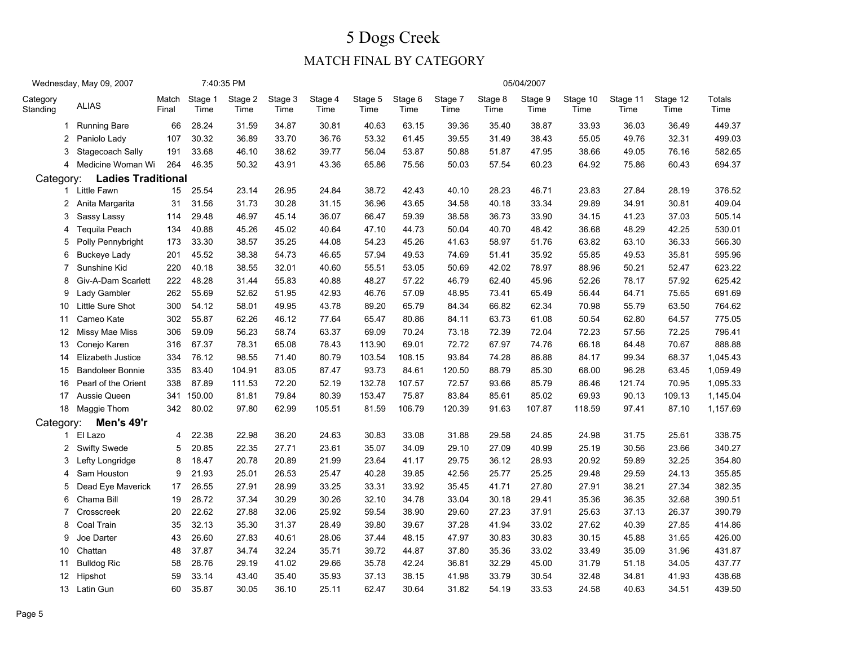|                      | Wednesday, May 09, 2007   |                |                 | 7:40:35 PM      |                 |                 |                 |                 |                 |                 | 05/04/2007      |                  |                  |                  |                |
|----------------------|---------------------------|----------------|-----------------|-----------------|-----------------|-----------------|-----------------|-----------------|-----------------|-----------------|-----------------|------------------|------------------|------------------|----------------|
| Category<br>Standing | <b>ALIAS</b>              | Match<br>Final | Stage 1<br>Time | Stage 2<br>Time | Stage 3<br>Time | Stage 4<br>Time | Stage 5<br>Time | Stage 6<br>Time | Stage 7<br>Time | Stage 8<br>Time | Stage 9<br>Time | Stage 10<br>Time | Stage 11<br>Time | Stage 12<br>Time | Totals<br>Time |
|                      | 1 Running Bare            | 66             | 28.24           | 31.59           | 34.87           | 30.81           | 40.63           | 63.15           | 39.36           | 35.40           | 38.87           | 33.93            | 36.03            | 36.49            | 449.37         |
| $\overline{2}$       | Paniolo Lady              | 107            | 30.32           | 36.89           | 33.70           | 36.76           | 53.32           | 61.45           | 39.55           | 31.49           | 38.43           | 55.05            | 49.76            | 32.31            | 499.03         |
| 3                    | Stagecoach Sally          | 191            | 33.68           | 46.10           | 38.62           | 39.77           | 56.04           | 53.87           | 50.88           | 51.87           | 47.95           | 38.66            | 49.05            | 76.16            | 582.65         |
| 4                    | Medicine Woman Wi         | 264            | 46.35           | 50.32           | 43.91           | 43.36           | 65.86           | 75.56           | 50.03           | 57.54           | 60.23           | 64.92            | 75.86            | 60.43            | 694.37         |
| Category:            | <b>Ladies Traditional</b> |                |                 |                 |                 |                 |                 |                 |                 |                 |                 |                  |                  |                  |                |
|                      | 1 Little Fawn             | 15             | 25.54           | 23.14           | 26.95           | 24.84           | 38.72           | 42.43           | 40.10           | 28.23           | 46.71           | 23.83            | 27.84            | 28.19            | 376.52         |
| 2                    | Anita Margarita           | 31             | 31.56           | 31.73           | 30.28           | 31.15           | 36.96           | 43.65           | 34.58           | 40.18           | 33.34           | 29.89            | 34.91            | 30.81            | 409.04         |
| 3                    | Sassy Lassy               | 114            | 29.48           | 46.97           | 45.14           | 36.07           | 66.47           | 59.39           | 38.58           | 36.73           | 33.90           | 34.15            | 41.23            | 37.03            | 505.14         |
| 4                    | Tequila Peach             | 134            | 40.88           | 45.26           | 45.02           | 40.64           | 47.10           | 44.73           | 50.04           | 40.70           | 48.42           | 36.68            | 48.29            | 42.25            | 530.01         |
| 5                    | Polly Pennybright         | 173            | 33.30           | 38.57           | 35.25           | 44.08           | 54.23           | 45.26           | 41.63           | 58.97           | 51.76           | 63.82            | 63.10            | 36.33            | 566.30         |
| 6                    | <b>Buckeye Lady</b>       | 201            | 45.52           | 38.38           | 54.73           | 46.65           | 57.94           | 49.53           | 74.69           | 51.41           | 35.92           | 55.85            | 49.53            | 35.81            | 595.96         |
| 7                    | Sunshine Kid              | 220            | 40.18           | 38.55           | 32.01           | 40.60           | 55.51           | 53.05           | 50.69           | 42.02           | 78.97           | 88.96            | 50.21            | 52.47            | 623.22         |
| 8                    | Giv-A-Dam Scarlett        | 222            | 48.28           | 31.44           | 55.83           | 40.88           | 48.27           | 57.22           | 46.79           | 62.40           | 45.96           | 52.26            | 78.17            | 57.92            | 625.42         |
| 9                    | Lady Gambler              | 262            | 55.69           | 52.62           | 51.95           | 42.93           | 46.76           | 57.09           | 48.95           | 73.41           | 65.49           | 56.44            | 64.71            | 75.65            | 691.69         |
| 10                   | Little Sure Shot          | 300            | 54.12           | 58.01           | 49.95           | 43.78           | 89.20           | 65.79           | 84.34           | 66.82           | 62.34           | 70.98            | 55.79            | 63.50            | 764.62         |
| 11                   | Cameo Kate                | 302            | 55.87           | 62.26           | 46.12           | 77.64           | 65.47           | 80.86           | 84.11           | 63.73           | 61.08           | 50.54            | 62.80            | 64.57            | 775.05         |
| 12                   | Missy Mae Miss            | 306            | 59.09           | 56.23           | 58.74           | 63.37           | 69.09           | 70.24           | 73.18           | 72.39           | 72.04           | 72.23            | 57.56            | 72.25            | 796.41         |
| 13                   | Conejo Karen              | 316            | 67.37           | 78.31           | 65.08           | 78.43           | 113.90          | 69.01           | 72.72           | 67.97           | 74.76           | 66.18            | 64.48            | 70.67            | 888.88         |
| 14                   | Elizabeth Justice         | 334            | 76.12           | 98.55           | 71.40           | 80.79           | 103.54          | 108.15          | 93.84           | 74.28           | 86.88           | 84.17            | 99.34            | 68.37            | 1,045.43       |
| 15                   | <b>Bandoleer Bonnie</b>   | 335            | 83.40           | 104.91          | 83.05           | 87.47           | 93.73           | 84.61           | 120.50          | 88.79           | 85.30           | 68.00            | 96.28            | 63.45            | 1,059.49       |
| 16                   | Pearl of the Orient       | 338            | 87.89           | 111.53          | 72.20           | 52.19           | 132.78          | 107.57          | 72.57           | 93.66           | 85.79           | 86.46            | 121.74           | 70.95            | 1,095.33       |
| 17                   | Aussie Queen              | 341            | 150.00          | 81.81           | 79.84           | 80.39           | 153.47          | 75.87           | 83.84           | 85.61           | 85.02           | 69.93            | 90.13            | 109.13           | 1,145.04       |
| 18                   | Maggie Thom               | 342            | 80.02           | 97.80           | 62.99           | 105.51          | 81.59           | 106.79          | 120.39          | 91.63           | 107.87          | 118.59           | 97.41            | 87.10            | 1,157.69       |
| Category:            | Men's 49'r                |                |                 |                 |                 |                 |                 |                 |                 |                 |                 |                  |                  |                  |                |
|                      | 1 El Lazo                 | 4              | 22.38           | 22.98           | 36.20           | 24.63           | 30.83           | 33.08           | 31.88           | 29.58           | 24.85           | 24.98            | 31.75            | 25.61            | 338.75         |
|                      | 2 Swifty Swede            | 5              | 20.85           | 22.35           | 27.71           | 23.61           | 35.07           | 34.09           | 29.10           | 27.09           | 40.99           | 25.19            | 30.56            | 23.66            | 340.27         |
| 3                    | Lefty Longridge           | 8              | 18.47           | 20.78           | 20.89           | 21.99           | 23.64           | 41.17           | 29.75           | 36.12           | 28.93           | 20.92            | 59.89            | 32.25            | 354.80         |
| 4                    | Sam Houston               | 9              | 21.93           | 25.01           | 26.53           | 25.47           | 40.28           | 39.85           | 42.56           | 25.77           | 25.25           | 29.48            | 29.59            | 24.13            | 355.85         |
| 5                    | Dead Eye Maverick         | 17             | 26.55           | 27.91           | 28.99           | 33.25           | 33.31           | 33.92           | 35.45           | 41.71           | 27.80           | 27.91            | 38.21            | 27.34            | 382.35         |
| 6                    | Chama Bill                | 19             | 28.72           | 37.34           | 30.29           | 30.26           | 32.10           | 34.78           | 33.04           | 30.18           | 29.41           | 35.36            | 36.35            | 32.68            | 390.51         |
| 7                    | Crosscreek                | 20             | 22.62           | 27.88           | 32.06           | 25.92           | 59.54           | 38.90           | 29.60           | 27.23           | 37.91           | 25.63            | 37.13            | 26.37            | 390.79         |
| 8                    | Coal Train                | 35             | 32.13           | 35.30           | 31.37           | 28.49           | 39.80           | 39.67           | 37.28           | 41.94           | 33.02           | 27.62            | 40.39            | 27.85            | 414.86         |
| 9                    | Joe Darter                | 43             | 26.60           | 27.83           | 40.61           | 28.06           | 37.44           | 48.15           | 47.97           | 30.83           | 30.83           | 30.15            | 45.88            | 31.65            | 426.00         |
| 10                   | Chattan                   | 48             | 37.87           | 34.74           | 32.24           | 35.71           | 39.72           | 44.87           | 37.80           | 35.36           | 33.02           | 33.49            | 35.09            | 31.96            | 431.87         |
| 11                   | <b>Bulldog Ric</b>        | 58             | 28.76           | 29.19           | 41.02           | 29.66           | 35.78           | 42.24           | 36.81           | 32.29           | 45.00           | 31.79            | 51.18            | 34.05            | 437.77         |
| 12                   | Hipshot                   | 59             | 33.14           | 43.40           | 35.40           | 35.93           | 37.13           | 38.15           | 41.98           | 33.79           | 30.54           | 32.48            | 34.81            | 41.93            | 438.68         |
|                      | 13 Latin Gun              | 60             | 35.87           | 30.05           | 36.10           | 25.11           | 62.47           | 30.64           | 31.82           | 54.19           | 33.53           | 24.58            | 40.63            | 34.51            | 439.50         |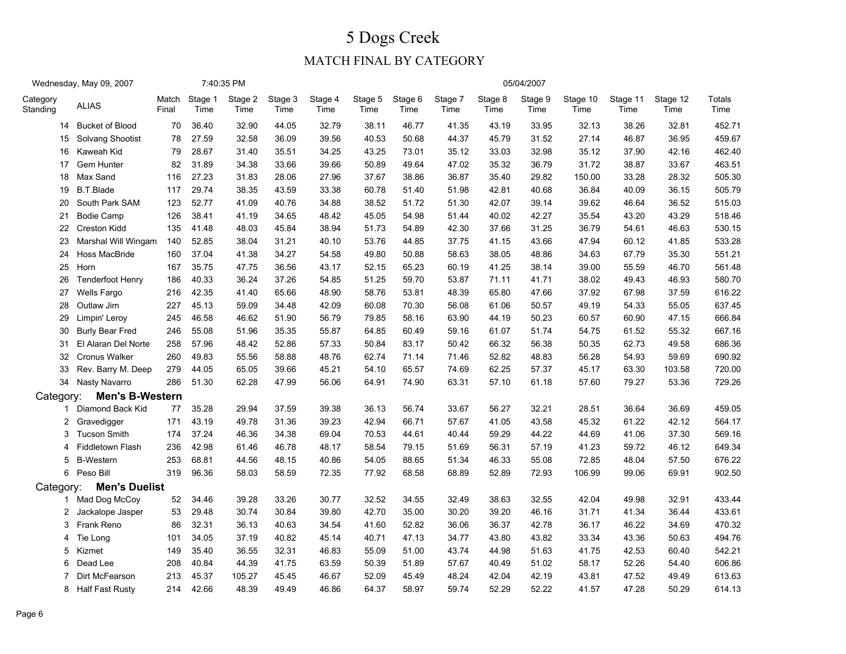|                      | Wednesday, May 09, 2007 |                |                 | 7:40:35 PM      |                 |                 |                 |                 |                 |                 | 05/04/2007      |                  |                  |                  |                       |
|----------------------|-------------------------|----------------|-----------------|-----------------|-----------------|-----------------|-----------------|-----------------|-----------------|-----------------|-----------------|------------------|------------------|------------------|-----------------------|
| Category<br>Standing | <b>ALIAS</b>            | Match<br>Final | Stage 1<br>Time | Stage 2<br>Time | Stage 3<br>Time | Stage 4<br>Time | Stage 5<br>Time | Stage 6<br>Time | Stage 7<br>Time | Stage 8<br>Time | Stage 9<br>Time | Stage 10<br>Time | Stage 11<br>Time | Stage 12<br>Time | <b>Totals</b><br>Time |
| 14                   | <b>Bucket of Blood</b>  | 70             | 36.40           | 32.90           | 44.05           | 32.79           | 38.11           | 46.77           | 41.35           | 43.19           | 33.95           | 32.13            | 38.26            | 32.81            | 452.71                |
| 15                   | Solvang Shootist        | 78             | 27.59           | 32.58           | 36.09           | 39.56           | 40.53           | 50.68           | 44.37           | 45.79           | 31.52           | 27.14            | 46.87            | 36.95            | 459.67                |
| 16                   | Kaweah Kid              | 79             | 28.67           | 31.40           | 35.51           | 34.25           | 43.25           | 73.01           | 35.12           | 33.03           | 32.98           | 35.12            | 37.90            | 42.16            | 462.40                |
| 17                   | Gem Hunter              | 82             | 31.89           | 34.38           | 33.66           | 39.66           | 50.89           | 49.64           | 47.02           | 35.32           | 36.79           | 31.72            | 38.87            | 33.67            | 463.51                |
| 18                   | Max Sand                | 116            | 27.23           | 31.83           | 28.06           | 27.96           | 37.67           | 38.86           | 36.87           | 35.40           | 29.82           | 150.00           | 33.28            | 28.32            | 505.30                |
| 19                   | <b>B.T.Blade</b>        | 117            | 29.74           | 38.35           | 43.59           | 33.38           | 60.78           | 51.40           | 51.98           | 42.81           | 40.68           | 36.84            | 40.09            | 36.15            | 505.79                |
| 20                   | South Park SAM          | 123            | 52.77           | 41.09           | 40.76           | 34.88           | 38.52           | 51.72           | 51.30           | 42.07           | 39.14           | 39.62            | 46.64            | 36.52            | 515.03                |
| 21                   | <b>Bodie Camp</b>       | 126            | 38.41           | 41.19           | 34.65           | 48.42           | 45.05           | 54.98           | 51.44           | 40.02           | 42.27           | 35.54            | 43.20            | 43.29            | 518.46                |
| 22                   | <b>Creston Kidd</b>     | 135            | 41.48           | 48.03           | 45.84           | 38.94           | 51.73           | 54.89           | 42.30           | 37.66           | 31.25           | 36.79            | 54.61            | 46.63            | 530.15                |
| 23                   | Marshal Will Wingam     | 140            | 52.85           | 38.04           | 31.21           | 40.10           | 53.76           | 44.85           | 37.75           | 41.15           | 43.66           | 47.94            | 60.12            | 41.85            | 533.28                |
| 24                   | Hoss MacBride           | 160            | 37.04           | 41.38           | 34.27           | 54.58           | 49.80           | 50.88           | 58.63           | 38.05           | 48.86           | 34.63            | 67.79            | 35.30            | 551.21                |
| 25                   | Horn                    | 167            | 35.75           | 47.75           | 36.56           | 43.17           | 52.15           | 65.23           | 60.19           | 41.25           | 38.14           | 39.00            | 55.59            | 46.70            | 561.48                |
| 26                   | <b>Tenderfoot Henry</b> | 186            | 40.33           | 36.24           | 37.26           | 54.85           | 51.25           | 59.70           | 53.87           | 71.11           | 41.71           | 38.02            | 49.43            | 46.93            | 580.70                |
| 27                   | Wells Fargo             | 216            | 42.35           | 41.40           | 65.66           | 48.90           | 58.76           | 53.81           | 48.39           | 65.80           | 47.66           | 37.92            | 67.98            | 37.59            | 616.22                |
| 28                   | Outlaw Jim              | 227            | 45.13           | 59.09           | 34.48           | 42.09           | 60.08           | 70.30           | 56.08           | 61.06           | 50.57           | 49.19            | 54.33            | 55.05            | 637.45                |
| 29                   | Limpin' Leroy           | 245            | 46.58           | 46.62           | 51.90           | 56.79           | 79.85           | 58.16           | 63.90           | 44.19           | 50.23           | 60.57            | 60.90            | 47.15            | 666.84                |
| 30                   | <b>Burly Bear Fred</b>  | 246            | 55.08           | 51.96           | 35.35           | 55.87           | 64.85           | 60.49           | 59.16           | 61.07           | 51.74           | 54.75            | 61.52            | 55.32            | 667.16                |
| 31                   | El Alaran Del Norte     | 258            | 57.96           | 48.42           | 52.86           | 57.33           | 50.84           | 83.17           | 50.42           | 66.32           | 56.38           | 50.35            | 62.73            | 49.58            | 686.36                |
| 32                   | <b>Cronus Walker</b>    | 260            | 49.83           | 55.56           | 58.88           | 48.76           | 62.74           | 71.14           | 71.46           | 52.82           | 48.83           | 56.28            | 54.93            | 59.69            | 690.92                |
| 33                   | Rev. Barry M. Deep      | 279            | 44.05           | 65.05           | 39.66           | 45.21           | 54.10           | 65.57           | 74.69           | 62.25           | 57.37           | 45.17            | 63.30            | 103.58           | 720.00                |
|                      | 34 Nasty Navarro        | 286            | 51.30           | 62.28           | 47.99           | 56.06           | 64.91           | 74.90           | 63.31           | 57.10           | 61.18           | 57.60            | 79.27            | 53.36            | 729.26                |
| Category:            | <b>Men's B-Western</b>  |                |                 |                 |                 |                 |                 |                 |                 |                 |                 |                  |                  |                  |                       |
| $\mathbf{1}$         | Diamond Back Kid        | 77             | 35.28           | 29.94           | 37.59           | 39.38           | 36.13           | 56.74           | 33.67           | 56.27           | 32.21           | 28.51            | 36.64            | 36.69            | 459.05                |
| 2                    | Gravedigger             | 171            | 43.19           | 49.78           | 31.36           | 39.23           | 42.94           | 66.71           | 57.67           | 41.05           | 43.58           | 45.32            | 61.22            | 42.12            | 564.17                |
| 3                    | <b>Tucson Smith</b>     | 174            | 37.24           | 46.36           | 34.38           | 69.04           | 70.53           | 44.61           | 40.44           | 59.29           | 44.22           | 44.69            | 41.06            | 37.30            | 569.16                |
| 4                    | <b>Fiddletown Flash</b> | 236            | 42.98           | 61.46           | 46.78           | 48.17           | 58.54           | 79.15           | 51.69           | 56.31           | 57.19           | 41.23            | 59.72            | 46.12            | 649.34                |
| 5                    | <b>B-Western</b>        | 253            | 68.81           | 44.56           | 48.15           | 40.86           | 54.05           | 88.65           | 51.34           | 46.33           | 55.08           | 72.85            | 48.04            | 57.50            | 676.22                |
| 6                    | Peso Bill               | 319            | 96.36           | 58.03           | 58.59           | 72.35           | 77.92           | 68.58           | 68.89           | 52.89           | 72.93           | 106.99           | 99.06            | 69.91            | 902.50                |
| Category:            | <b>Men's Duelist</b>    |                |                 |                 |                 |                 |                 |                 |                 |                 |                 |                  |                  |                  |                       |
| $\mathbf{1}$         | Mad Dog McCoy           | 52             | 34.46           | 39.28           | 33.26           | 30.77           | 32.52           | 34.55           | 32.49           | 38.63           | 32.55           | 42.04            | 49.98            | 32.91            | 433.44                |
| 2                    | Jackalope Jasper        | 53             | 29.48           | 30.74           | 30.84           | 39.80           | 42.70           | 35.00           | 30.20           | 39.20           | 46.16           | 31.71            | 41.34            | 36.44            | 433.61                |
| 3                    | Frank Reno              | 86             | 32.31           | 36.13           | 40.63           | 34.54           | 41.60           | 52.82           | 36.06           | 36.37           | 42.78           | 36.17            | 46.22            | 34.69            | 470.32                |
| 4                    | Tie Long                | 101            | 34.05           | 37.19           | 40.82           | 45.14           | 40.71           | 47.13           | 34.77           | 43.80           | 43.82           | 33.34            | 43.36            | 50.63            | 494.76                |
| 5                    | Kizmet                  | 149            | 35.40           | 36.55           | 32.31           | 46.83           | 55.09           | 51.00           | 43.74           | 44.98           | 51.63           | 41.75            | 42.53            | 60.40            | 542.21                |
| 6                    | Dead Lee                | 208            | 40.84           | 44.39           | 41.75           | 63.59           | 50.39           | 51.89           | 57.67           | 40.49           | 51.02           | 58.17            | 52.26            | 54.40            | 606.86                |
| 7                    | Dirt McFearson          | 213            | 45.37           | 105.27          | 45.45           | 46.67           | 52.09           | 45.49           | 48.24           | 42.04           | 42.19           | 43.81            | 47.52            | 49.49            | 613.63                |
|                      | 8 Half Fast Rusty       | 214            | 42.66           | 48.39           | 49.49           | 46.86           | 64.37           | 58.97           | 59.74           | 52.29           | 52.22           | 41.57            | 47.28            | 50.29            | 614.13                |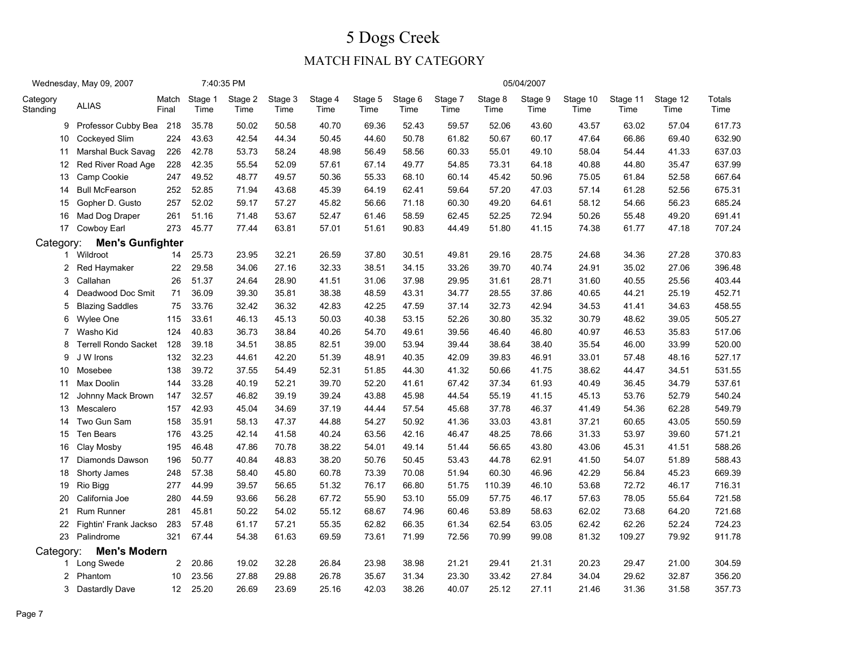|                      | Wednesday, May 09, 2007     |                |                 | 7:40:35 PM      |                 |                 |                 |                 |                 |                 | 05/04/2007      |                  |                  |                  |                       |
|----------------------|-----------------------------|----------------|-----------------|-----------------|-----------------|-----------------|-----------------|-----------------|-----------------|-----------------|-----------------|------------------|------------------|------------------|-----------------------|
| Category<br>Standing | <b>ALIAS</b>                | Match<br>Final | Stage 1<br>Time | Stage 2<br>Time | Stage 3<br>Time | Stage 4<br>Time | Stage 5<br>Time | Stage 6<br>Time | Stage 7<br>Time | Stage 8<br>Time | Stage 9<br>Time | Stage 10<br>Time | Stage 11<br>Time | Stage 12<br>Time | <b>Totals</b><br>Time |
| 9                    | Professor Cubby Bea         | 218            | 35.78           | 50.02           | 50.58           | 40.70           | 69.36           | 52.43           | 59.57           | 52.06           | 43.60           | 43.57            | 63.02            | 57.04            | 617.73                |
| 10                   | Cockeyed Slim               | 224            | 43.63           | 42.54           | 44.34           | 50.45           | 44.60           | 50.78           | 61.82           | 50.67           | 60.17           | 47.64            | 66.86            | 69.40            | 632.90                |
| 11                   | Marshal Buck Savag          | 226            | 42.78           | 53.73           | 58.24           | 48.98           | 56.49           | 58.56           | 60.33           | 55.01           | 49.10           | 58.04            | 54.44            | 41.33            | 637.03                |
| 12                   | Red River Road Age          | 228            | 42.35           | 55.54           | 52.09           | 57.61           | 67.14           | 49.77           | 54.85           | 73.31           | 64.18           | 40.88            | 44.80            | 35.47            | 637.99                |
| 13                   | Camp Cookie                 | 247            | 49.52           | 48.77           | 49.57           | 50.36           | 55.33           | 68.10           | 60.14           | 45.42           | 50.96           | 75.05            | 61.84            | 52.58            | 667.64                |
| 14                   | <b>Bull McFearson</b>       | 252            | 52.85           | 71.94           | 43.68           | 45.39           | 64.19           | 62.41           | 59.64           | 57.20           | 47.03           | 57.14            | 61.28            | 52.56            | 675.31                |
| 15                   | Gopher D. Gusto             | 257            | 52.02           | 59.17           | 57.27           | 45.82           | 56.66           | 71.18           | 60.30           | 49.20           | 64.61           | 58.12            | 54.66            | 56.23            | 685.24                |
| 16                   | Mad Dog Draper              | 261            | 51.16           | 71.48           | 53.67           | 52.47           | 61.46           | 58.59           | 62.45           | 52.25           | 72.94           | 50.26            | 55.48            | 49.20            | 691.41                |
|                      | 17 Cowboy Earl              | 273            | 45.77           | 77.44           | 63.81           | 57.01           | 51.61           | 90.83           | 44.49           | 51.80           | 41.15           | 74.38            | 61.77            | 47.18            | 707.24                |
| Category:            | <b>Men's Gunfighter</b>     |                |                 |                 |                 |                 |                 |                 |                 |                 |                 |                  |                  |                  |                       |
|                      | 1 Wildroot                  | 14             | 25.73           | 23.95           | 32.21           | 26.59           | 37.80           | 30.51           | 49.81           | 29.16           | 28.75           | 24.68            | 34.36            | 27.28            | 370.83                |
| $\overline{2}$       | Red Haymaker                | 22             | 29.58           | 34.06           | 27.16           | 32.33           | 38.51           | 34.15           | 33.26           | 39.70           | 40.74           | 24.91            | 35.02            | 27.06            | 396.48                |
| 3                    | Callahan                    | 26             | 51.37           | 24.64           | 28.90           | 41.51           | 31.06           | 37.98           | 29.95           | 31.61           | 28.71           | 31.60            | 40.55            | 25.56            | 403.44                |
| 4                    | Deadwood Doc Smit           | 71             | 36.09           | 39.30           | 35.81           | 38.38           | 48.59           | 43.31           | 34.77           | 28.55           | 37.86           | 40.65            | 44.21            | 25.19            | 452.71                |
| 5                    | <b>Blazing Saddles</b>      | 75             | 33.76           | 32.42           | 36.32           | 42.83           | 42.25           | 47.59           | 37.14           | 32.73           | 42.94           | 34.53            | 41.41            | 34.63            | 458.55                |
| 6                    | Wylee One                   | 115            | 33.61           | 46.13           | 45.13           | 50.03           | 40.38           | 53.15           | 52.26           | 30.80           | 35.32           | 30.79            | 48.62            | 39.05            | 505.27                |
| 7                    | Washo Kid                   | 124            | 40.83           | 36.73           | 38.84           | 40.26           | 54.70           | 49.61           | 39.56           | 46.40           | 46.80           | 40.97            | 46.53            | 35.83            | 517.06                |
| 8                    | <b>Terrell Rondo Sacket</b> | 128            | 39.18           | 34.51           | 38.85           | 82.51           | 39.00           | 53.94           | 39.44           | 38.64           | 38.40           | 35.54            | 46.00            | 33.99            | 520.00                |
| 9                    | J W Irons                   | 132            | 32.23           | 44.61           | 42.20           | 51.39           | 48.91           | 40.35           | 42.09           | 39.83           | 46.91           | 33.01            | 57.48            | 48.16            | 527.17                |
| 10                   | Mosebee                     | 138            | 39.72           | 37.55           | 54.49           | 52.31           | 51.85           | 44.30           | 41.32           | 50.66           | 41.75           | 38.62            | 44.47            | 34.51            | 531.55                |
| 11                   | Max Doolin                  | 144            | 33.28           | 40.19           | 52.21           | 39.70           | 52.20           | 41.61           | 67.42           | 37.34           | 61.93           | 40.49            | 36.45            | 34.79            | 537.61                |
| 12                   | Johnny Mack Brown           | 147            | 32.57           | 46.82           | 39.19           | 39.24           | 43.88           | 45.98           | 44.54           | 55.19           | 41.15           | 45.13            | 53.76            | 52.79            | 540.24                |
| 13                   | Mescalero                   | 157            | 42.93           | 45.04           | 34.69           | 37.19           | 44.44           | 57.54           | 45.68           | 37.78           | 46.37           | 41.49            | 54.36            | 62.28            | 549.79                |
| 14                   | Two Gun Sam                 | 158            | 35.91           | 58.13           | 47.37           | 44.88           | 54.27           | 50.92           | 41.36           | 33.03           | 43.81           | 37.21            | 60.65            | 43.05            | 550.59                |
| 15                   | Ten Bears                   | 176            | 43.25           | 42.14           | 41.58           | 40.24           | 63.56           | 42.16           | 46.47           | 48.25           | 78.66           | 31.33            | 53.97            | 39.60            | 571.21                |
| 16                   | Clay Mosby                  | 195            | 46.48           | 47.86           | 70.78           | 38.22           | 54.01           | 49.14           | 51.44           | 56.65           | 43.80           | 43.06            | 45.31            | 41.51            | 588.26                |
| 17                   | Diamonds Dawson             | 196            | 50.77           | 40.84           | 48.83           | 38.20           | 50.76           | 50.45           | 53.43           | 44.78           | 62.91           | 41.50            | 54.07            | 51.89            | 588.43                |
| 18                   | Shorty James                | 248            | 57.38           | 58.40           | 45.80           | 60.78           | 73.39           | 70.08           | 51.94           | 60.30           | 46.96           | 42.29            | 56.84            | 45.23            | 669.39                |
| 19                   | Rio Bigg                    | 277            | 44.99           | 39.57           | 56.65           | 51.32           | 76.17           | 66.80           | 51.75           | 110.39          | 46.10           | 53.68            | 72.72            | 46.17            | 716.31                |
| 20                   | California Joe              | 280            | 44.59           | 93.66           | 56.28           | 67.72           | 55.90           | 53.10           | 55.09           | 57.75           | 46.17           | 57.63            | 78.05            | 55.64            | 721.58                |
| 21                   | <b>Rum Runner</b>           | 281            | 45.81           | 50.22           | 54.02           | 55.12           | 68.67           | 74.96           | 60.46           | 53.89           | 58.63           | 62.02            | 73.68            | 64.20            | 721.68                |
| 22                   | Fightin' Frank Jackso       | 283            | 57.48           | 61.17           | 57.21           | 55.35           | 62.82           | 66.35           | 61.34           | 62.54           | 63.05           | 62.42            | 62.26            | 52.24            | 724.23                |
|                      | 23 Palindrome               | 321            | 67.44           | 54.38           | 61.63           | 69.59           | 73.61           | 71.99           | 72.56           | 70.99           | 99.08           | 81.32            | 109.27           | 79.92            | 911.78                |
| Category:            | <b>Men's Modern</b>         |                |                 |                 |                 |                 |                 |                 |                 |                 |                 |                  |                  |                  |                       |
| 1                    | Long Swede                  | 2              | 20.86           | 19.02           | 32.28           | 26.84           | 23.98           | 38.98           | 21.21           | 29.41           | 21.31           | 20.23            | 29.47            | 21.00            | 304.59                |
| $\overline{2}$       | Phantom                     | 10             | 23.56           | 27.88           | 29.88           | 26.78           | 35.67           | 31.34           | 23.30           | 33.42           | 27.84           | 34.04            | 29.62            | 32.87            | 356.20                |
| 3                    | Dastardly Dave              | 12             | 25.20           | 26.69           | 23.69           | 25.16           | 42.03           | 38.26           | 40.07           | 25.12           | 27.11           | 21.46            | 31.36            | 31.58            | 357.73                |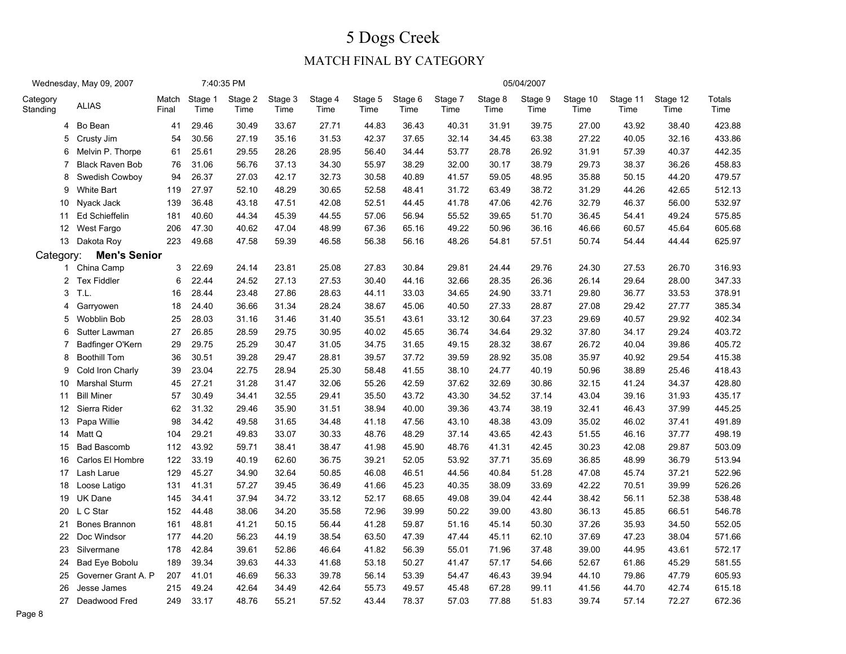|                      | Wednesday, May 09, 2007 |                |                 | 7:40:35 PM      |                 |                 |                 |                 |                 |                 | 05/04/2007      |                  |                  |                  |                       |
|----------------------|-------------------------|----------------|-----------------|-----------------|-----------------|-----------------|-----------------|-----------------|-----------------|-----------------|-----------------|------------------|------------------|------------------|-----------------------|
| Category<br>Standing | <b>ALIAS</b>            | Match<br>Final | Stage 1<br>Time | Stage 2<br>Time | Stage 3<br>Time | Stage 4<br>Time | Stage 5<br>Time | Stage 6<br>Time | Stage 7<br>Time | Stage 8<br>Time | Stage 9<br>Time | Stage 10<br>Time | Stage 11<br>Time | Stage 12<br>Time | <b>Totals</b><br>Time |
| 4                    | Bo Bean                 | 41             | 29.46           | 30.49           | 33.67           | 27.71           | 44.83           | 36.43           | 40.31           | 31.91           | 39.75           | 27.00            | 43.92            | 38.40            | 423.88                |
| 5                    | Crusty Jim              | 54             | 30.56           | 27.19           | 35.16           | 31.53           | 42.37           | 37.65           | 32.14           | 34.45           | 63.38           | 27.22            | 40.05            | 32.16            | 433.86                |
| 6                    | Melvin P. Thorpe        | 61             | 25.61           | 29.55           | 28.26           | 28.95           | 56.40           | 34.44           | 53.77           | 28.78           | 26.92           | 31.91            | 57.39            | 40.37            | 442.35                |
| $\overline{7}$       | <b>Black Raven Bob</b>  | 76             | 31.06           | 56.76           | 37.13           | 34.30           | 55.97           | 38.29           | 32.00           | 30.17           | 38.79           | 29.73            | 38.37            | 36.26            | 458.83                |
| 8                    | Swedish Cowboy          | 94             | 26.37           | 27.03           | 42.17           | 32.73           | 30.58           | 40.89           | 41.57           | 59.05           | 48.95           | 35.88            | 50.15            | 44.20            | 479.57                |
| 9                    | <b>White Bart</b>       | 119            | 27.97           | 52.10           | 48.29           | 30.65           | 52.58           | 48.41           | 31.72           | 63.49           | 38.72           | 31.29            | 44.26            | 42.65            | 512.13                |
| 10                   | Nyack Jack              | 139            | 36.48           | 43.18           | 47.51           | 42.08           | 52.51           | 44.45           | 41.78           | 47.06           | 42.76           | 32.79            | 46.37            | 56.00            | 532.97                |
| 11                   | Ed Schieffelin          | 181            | 40.60           | 44.34           | 45.39           | 44.55           | 57.06           | 56.94           | 55.52           | 39.65           | 51.70           | 36.45            | 54.41            | 49.24            | 575.85                |
| 12                   | West Fargo              | 206            | 47.30           | 40.62           | 47.04           | 48.99           | 67.36           | 65.16           | 49.22           | 50.96           | 36.16           | 46.66            | 60.57            | 45.64            | 605.68                |
|                      | 13 Dakota Roy           | 223            | 49.68           | 47.58           | 59.39           | 46.58           | 56.38           | 56.16           | 48.26           | 54.81           | 57.51           | 50.74            | 54.44            | 44.44            | 625.97                |
| Category:            | <b>Men's Senior</b>     |                |                 |                 |                 |                 |                 |                 |                 |                 |                 |                  |                  |                  |                       |
| $\mathbf{1}$         | China Camp              | 3              | 22.69           | 24.14           | 23.81           | 25.08           | 27.83           | 30.84           | 29.81           | 24.44           | 29.76           | 24.30            | 27.53            | 26.70            | 316.93                |
|                      | 2 Tex Fiddler           | 6              | 22.44           | 24.52           | 27.13           | 27.53           | 30.40           | 44.16           | 32.66           | 28.35           | 26.36           | 26.14            | 29.64            | 28.00            | 347.33                |
| 3                    | T.L                     | 16             | 28.44           | 23.48           | 27.86           | 28.63           | 44.11           | 33.03           | 34.65           | 24.90           | 33.71           | 29.80            | 36.77            | 33.53            | 378.91                |
| 4                    | Garryowen               | 18             | 24.40           | 36.66           | 31.34           | 28.24           | 38.67           | 45.06           | 40.50           | 27.33           | 28.87           | 27.08            | 29.42            | 27.77            | 385.34                |
| 5                    | <b>Wobblin Bob</b>      | 25             | 28.03           | 31.16           | 31.46           | 31.40           | 35.51           | 43.61           | 33.12           | 30.64           | 37.23           | 29.69            | 40.57            | 29.92            | 402.34                |
| 6                    | Sutter Lawman           | 27             | 26.85           | 28.59           | 29.75           | 30.95           | 40.02           | 45.65           | 36.74           | 34.64           | 29.32           | 37.80            | 34.17            | 29.24            | 403.72                |
| 7                    | Badfinger O'Kern        | 29             | 29.75           | 25.29           | 30.47           | 31.05           | 34.75           | 31.65           | 49.15           | 28.32           | 38.67           | 26.72            | 40.04            | 39.86            | 405.72                |
| 8                    | <b>Boothill Tom</b>     | 36             | 30.51           | 39.28           | 29.47           | 28.81           | 39.57           | 37.72           | 39.59           | 28.92           | 35.08           | 35.97            | 40.92            | 29.54            | 415.38                |
| 9                    | Cold Iron Charly        | 39             | 23.04           | 22.75           | 28.94           | 25.30           | 58.48           | 41.55           | 38.10           | 24.77           | 40.19           | 50.96            | 38.89            | 25.46            | 418.43                |
| 10                   | Marshal Sturm           | 45             | 27.21           | 31.28           | 31.47           | 32.06           | 55.26           | 42.59           | 37.62           | 32.69           | 30.86           | 32.15            | 41.24            | 34.37            | 428.80                |
| 11                   | <b>Bill Miner</b>       | 57             | 30.49           | 34.41           | 32.55           | 29.41           | 35.50           | 43.72           | 43.30           | 34.52           | 37.14           | 43.04            | 39.16            | 31.93            | 435.17                |
| 12                   | Sierra Rider            | 62             | 31.32           | 29.46           | 35.90           | 31.51           | 38.94           | 40.00           | 39.36           | 43.74           | 38.19           | 32.41            | 46.43            | 37.99            | 445.25                |
| 13                   | Papa Willie             | 98             | 34.42           | 49.58           | 31.65           | 34.48           | 41.18           | 47.56           | 43.10           | 48.38           | 43.09           | 35.02            | 46.02            | 37.41            | 491.89                |
| 14                   | Matt Q                  | 104            | 29.21           | 49.83           | 33.07           | 30.33           | 48.76           | 48.29           | 37.14           | 43.65           | 42.43           | 51.55            | 46.16            | 37.77            | 498.19                |
| 15                   | <b>Bad Bascomb</b>      | 112            | 43.92           | 59.71           | 38.41           | 38.47           | 41.98           | 45.90           | 48.76           | 41.31           | 42.45           | 30.23            | 42.08            | 29.87            | 503.09                |
| 16                   | Carlos El Hombre        | 122            | 33.19           | 40.19           | 62.60           | 36.75           | 39.21           | 52.05           | 53.92           | 37.71           | 35.69           | 36.85            | 48.99            | 36.79            | 513.94                |
| 17                   | Lash Larue              | 129            | 45.27           | 34.90           | 32.64           | 50.85           | 46.08           | 46.51           | 44.56           | 40.84           | 51.28           | 47.08            | 45.74            | 37.21            | 522.96                |
| 18                   | Loose Latigo            | 131            | 41.31           | 57.27           | 39.45           | 36.49           | 41.66           | 45.23           | 40.35           | 38.09           | 33.69           | 42.22            | 70.51            | 39.99            | 526.26                |
| 19                   | <b>UK Dane</b>          | 145            | 34.41           | 37.94           | 34.72           | 33.12           | 52.17           | 68.65           | 49.08           | 39.04           | 42.44           | 38.42            | 56.11            | 52.38            | 538.48                |
| 20                   | L C Star                | 152            | 44.48           | 38.06           | 34.20           | 35.58           | 72.96           | 39.99           | 50.22           | 39.00           | 43.80           | 36.13            | 45.85            | 66.51            | 546.78                |
| 21                   | Bones Brannon           | 161            | 48.81           | 41.21           | 50.15           | 56.44           | 41.28           | 59.87           | 51.16           | 45.14           | 50.30           | 37.26            | 35.93            | 34.50            | 552.05                |
| 22                   | Doc Windsor             | 177            | 44.20           | 56.23           | 44.19           | 38.54           | 63.50           | 47.39           | 47.44           | 45.11           | 62.10           | 37.69            | 47.23            | 38.04            | 571.66                |
| 23                   | Silvermane              | 178            | 42.84           | 39.61           | 52.86           | 46.64           | 41.82           | 56.39           | 55.01           | 71.96           | 37.48           | 39.00            | 44.95            | 43.61            | 572.17                |
| 24                   | <b>Bad Eye Bobolu</b>   | 189            | 39.34           | 39.63           | 44.33           | 41.68           | 53.18           | 50.27           | 41.47           | 57.17           | 54.66           | 52.67            | 61.86            | 45.29            | 581.55                |
| 25                   | Governer Grant A. P     | 207            | 41.01           | 46.69           | 56.33           | 39.78           | 56.14           | 53.39           | 54.47           | 46.43           | 39.94           | 44.10            | 79.86            | 47.79            | 605.93                |
| 26                   | Jesse James             | 215            | 49.24           | 42.64           | 34.49           | 42.64           | 55.73           | 49.57           | 45.48           | 67.28           | 99.11           | 41.56            | 44.70            | 42.74            | 615.18                |
| 27                   | Deadwood Fred           | 249            | 33.17           | 48.76           | 55.21           | 57.52           | 43.44           | 78.37           | 57.03           | 77.88           | 51.83           | 39.74            | 57.14            | 72.27            | 672.36                |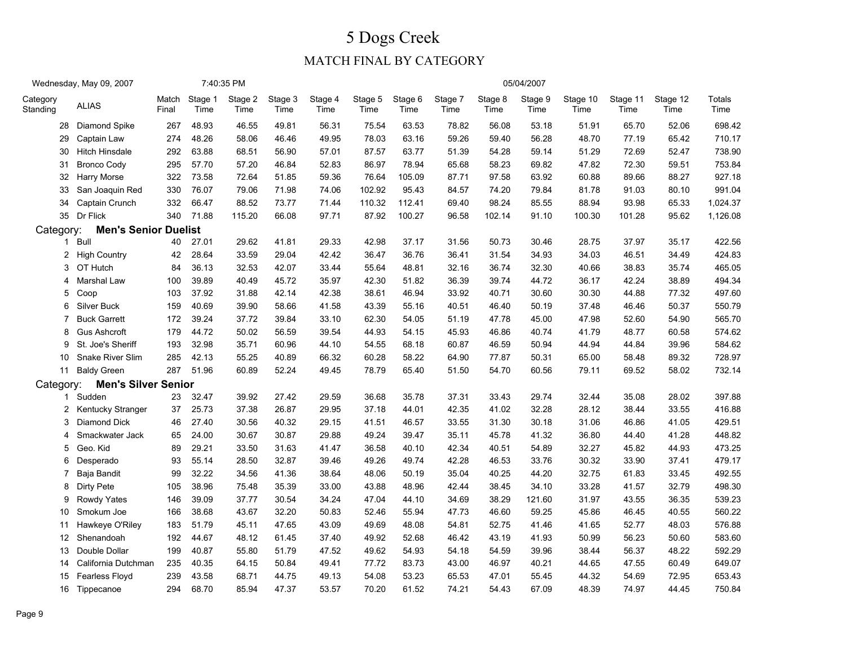|                      | Wednesday, May 09, 2007     |                |                 | 7:40:35 PM      |                 |                 |                 |                 |                 |                 | 05/04/2007      |                  |                  |                  |                |
|----------------------|-----------------------------|----------------|-----------------|-----------------|-----------------|-----------------|-----------------|-----------------|-----------------|-----------------|-----------------|------------------|------------------|------------------|----------------|
| Category<br>Standing | <b>ALIAS</b>                | Match<br>Final | Stage 1<br>Time | Stage 2<br>Time | Stage 3<br>Time | Stage 4<br>Time | Stage 5<br>Time | Stage 6<br>Time | Stage 7<br>Time | Stage 8<br>Time | Stage 9<br>Time | Stage 10<br>Time | Stage 11<br>Time | Stage 12<br>Time | Totals<br>Time |
|                      | 28 Diamond Spike            | 267            | 48.93           | 46.55           | 49.81           | 56.31           | 75.54           | 63.53           | 78.82           | 56.08           | 53.18           | 51.91            | 65.70            | 52.06            | 698.42         |
| 29                   | Captain Law                 | 274            | 48.26           | 58.06           | 46.46           | 49.95           | 78.03           | 63.16           | 59.26           | 59.40           | 56.28           | 48.70            | 77.19            | 65.42            | 710.17         |
| 30                   | <b>Hitch Hinsdale</b>       | 292            | 63.88           | 68.51           | 56.90           | 57.01           | 87.57           | 63.77           | 51.39           | 54.28           | 59.14           | 51.29            | 72.69            | 52.47            | 738.90         |
| 31                   | <b>Bronco Cody</b>          | 295            | 57.70           | 57.20           | 46.84           | 52.83           | 86.97           | 78.94           | 65.68           | 58.23           | 69.82           | 47.82            | 72.30            | 59.51            | 753.84         |
| 32                   | Harry Morse                 | 322            | 73.58           | 72.64           | 51.85           | 59.36           | 76.64           | 105.09          | 87.71           | 97.58           | 63.92           | 60.88            | 89.66            | 88.27            | 927.18         |
| 33                   | San Joaquin Red             | 330            | 76.07           | 79.06           | 71.98           | 74.06           | 102.92          | 95.43           | 84.57           | 74.20           | 79.84           | 81.78            | 91.03            | 80.10            | 991.04         |
| 34                   | Captain Crunch              | 332            | 66.47           | 88.52           | 73.77           | 71.44           | 110.32          | 112.41          | 69.40           | 98.24           | 85.55           | 88.94            | 93.98            | 65.33            | 1,024.37       |
|                      | 35 Dr Flick                 | 340            | 71.88           | 115.20          | 66.08           | 97.71           | 87.92           | 100.27          | 96.58           | 102.14          | 91.10           | 100.30           | 101.28           | 95.62            | 1,126.08       |
| Category:            | <b>Men's Senior Duelist</b> |                |                 |                 |                 |                 |                 |                 |                 |                 |                 |                  |                  |                  |                |
|                      | 1 Bull                      | 40             | 27.01           | 29.62           | 41.81           | 29.33           | 42.98           | 37.17           | 31.56           | 50.73           | 30.46           | 28.75            | 37.97            | 35.17            | 422.56         |
|                      | 2 High Country              | 42             | 28.64           | 33.59           | 29.04           | 42.42           | 36.47           | 36.76           | 36.41           | 31.54           | 34.93           | 34.03            | 46.51            | 34.49            | 424.83         |
| 3                    | OT Hutch                    | 84             | 36.13           | 32.53           | 42.07           | 33.44           | 55.64           | 48.81           | 32.16           | 36.74           | 32.30           | 40.66            | 38.83            | 35.74            | 465.05         |
| 4                    | Marshal Law                 | 100            | 39.89           | 40.49           | 45.72           | 35.97           | 42.30           | 51.82           | 36.39           | 39.74           | 44.72           | 36.17            | 42.24            | 38.89            | 494.34         |
| 5                    | Coop                        | 103            | 37.92           | 31.88           | 42.14           | 42.38           | 38.61           | 46.94           | 33.92           | 40.71           | 30.60           | 30.30            | 44.88            | 77.32            | 497.60         |
| 6                    | Silver Buck                 | 159            | 40.69           | 39.90           | 58.66           | 41.58           | 43.39           | 55.16           | 40.51           | 46.40           | 50.19           | 37.48            | 46.46            | 50.37            | 550.79         |
| 7                    | <b>Buck Garrett</b>         | 172            | 39.24           | 37.72           | 39.84           | 33.10           | 62.30           | 54.05           | 51.19           | 47.78           | 45.00           | 47.98            | 52.60            | 54.90            | 565.70         |
| 8                    | <b>Gus Ashcroft</b>         | 179            | 44.72           | 50.02           | 56.59           | 39.54           | 44.93           | 54.15           | 45.93           | 46.86           | 40.74           | 41.79            | 48.77            | 60.58            | 574.62         |
| 9                    | St. Joe's Sheriff           | 193            | 32.98           | 35.71           | 60.96           | 44.10           | 54.55           | 68.18           | 60.87           | 46.59           | 50.94           | 44.94            | 44.84            | 39.96            | 584.62         |
| 10                   | Snake River Slim            | 285            | 42.13           | 55.25           | 40.89           | 66.32           | 60.28           | 58.22           | 64.90           | 77.87           | 50.31           | 65.00            | 58.48            | 89.32            | 728.97         |
| 11                   | <b>Baldy Green</b>          | 287            | 51.96           | 60.89           | 52.24           | 49.45           | 78.79           | 65.40           | 51.50           | 54.70           | 60.56           | 79.11            | 69.52            | 58.02            | 732.14         |
| Category:            | <b>Men's Silver Senior</b>  |                |                 |                 |                 |                 |                 |                 |                 |                 |                 |                  |                  |                  |                |
| 1                    | Sudden                      | 23             | 32.47           | 39.92           | 27.42           | 29.59           | 36.68           | 35.78           | 37.31           | 33.43           | 29.74           | 32.44            | 35.08            | 28.02            | 397.88         |
| 2                    | Kentucky Stranger           | 37             | 25.73           | 37.38           | 26.87           | 29.95           | 37.18           | 44.01           | 42.35           | 41.02           | 32.28           | 28.12            | 38.44            | 33.55            | 416.88         |
| 3                    | Diamond Dick                | 46             | 27.40           | 30.56           | 40.32           | 29.15           | 41.51           | 46.57           | 33.55           | 31.30           | 30.18           | 31.06            | 46.86            | 41.05            | 429.51         |
| 4                    | Smackwater Jack             | 65             | 24.00           | 30.67           | 30.87           | 29.88           | 49.24           | 39.47           | 35.11           | 45.78           | 41.32           | 36.80            | 44.40            | 41.28            | 448.82         |
| 5                    | Geo. Kid                    | 89             | 29.21           | 33.50           | 31.63           | 41.47           | 36.58           | 40.10           | 42.34           | 40.51           | 54.89           | 32.27            | 45.82            | 44.93            | 473.25         |
| 6                    | Desperado                   | 93             | 55.14           | 28.50           | 32.87           | 39.46           | 49.26           | 49.74           | 42.28           | 46.53           | 33.76           | 30.32            | 33.90            | 37.41            | 479.17         |
| 7                    | Baja Bandit                 | 99             | 32.22           | 34.56           | 41.36           | 38.64           | 48.06           | 50.19           | 35.04           | 40.25           | 44.20           | 32.75            | 61.83            | 33.45            | 492.55         |
| 8                    | <b>Dirty Pete</b>           | 105            | 38.96           | 75.48           | 35.39           | 33.00           | 43.88           | 48.96           | 42.44           | 38.45           | 34.10           | 33.28            | 41.57            | 32.79            | 498.30         |
| 9                    | Rowdy Yates                 | 146            | 39.09           | 37.77           | 30.54           | 34.24           | 47.04           | 44.10           | 34.69           | 38.29           | 121.60          | 31.97            | 43.55            | 36.35            | 539.23         |
| 10                   | Smokum Joe                  | 166            | 38.68           | 43.67           | 32.20           | 50.83           | 52.46           | 55.94           | 47.73           | 46.60           | 59.25           | 45.86            | 46.45            | 40.55            | 560.22         |
| 11                   | Hawkeye O'Riley             | 183            | 51.79           | 45.11           | 47.65           | 43.09           | 49.69           | 48.08           | 54.81           | 52.75           | 41.46           | 41.65            | 52.77            | 48.03            | 576.88         |
| 12 <sup>12</sup>     | Shenandoah                  | 192            | 44.67           | 48.12           | 61.45           | 37.40           | 49.92           | 52.68           | 46.42           | 43.19           | 41.93           | 50.99            | 56.23            | 50.60            | 583.60         |
| 13                   | Double Dollar               | 199            | 40.87           | 55.80           | 51.79           | 47.52           | 49.62           | 54.93           | 54.18           | 54.59           | 39.96           | 38.44            | 56.37            | 48.22            | 592.29         |
| 14                   | California Dutchman         | 235            | 40.35           | 64.15           | 50.84           | 49.41           | 77.72           | 83.73           | 43.00           | 46.97           | 40.21           | 44.65            | 47.55            | 60.49            | 649.07         |
| 15                   | Fearless Floyd              | 239            | 43.58           | 68.71           | 44.75           | 49.13           | 54.08           | 53.23           | 65.53           | 47.01           | 55.45           | 44.32            | 54.69            | 72.95            | 653.43         |
|                      | 16 Tippecanoe               | 294            | 68.70           | 85.94           | 47.37           | 53.57           | 70.20           | 61.52           | 74.21           | 54.43           | 67.09           | 48.39            | 74.97            | 44.45            | 750.84         |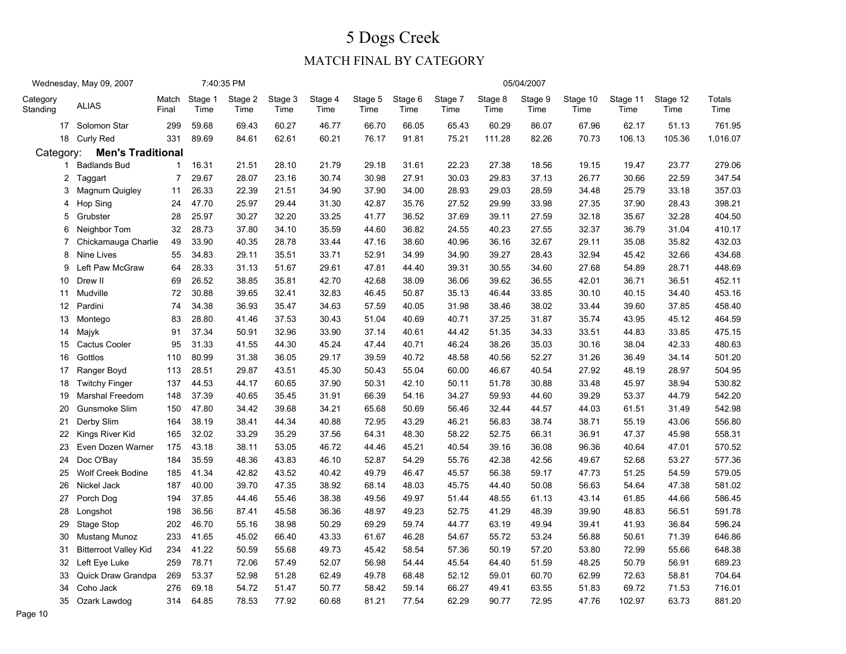|                      | Wednesday, May 09, 2007      |                |                 | 7:40:35 PM      |                 |                 |                 |                 |                 |                 | 05/04/2007      |                  |                  |                  |                |
|----------------------|------------------------------|----------------|-----------------|-----------------|-----------------|-----------------|-----------------|-----------------|-----------------|-----------------|-----------------|------------------|------------------|------------------|----------------|
| Category<br>Standing | <b>ALIAS</b>                 | Match<br>Final | Stage 1<br>Time | Stage 2<br>Time | Stage 3<br>Time | Stage 4<br>Time | Stage 5<br>Time | Stage 6<br>Time | Stage 7<br>Time | Stage 8<br>Time | Stage 9<br>Time | Stage 10<br>Time | Stage 11<br>Time | Stage 12<br>Time | Totals<br>Time |
|                      | 17 Solomon Star              | 299            | 59.68           | 69.43           | 60.27           | 46.77           | 66.70           | 66.05           | 65.43           | 60.29           | 86.07           | 67.96            | 62.17            | 51.13            | 761.95         |
|                      | 18 Curly Red                 | 331            | 89.69           | 84.61           | 62.61           | 60.21           | 76.17           | 91.81           | 75.21           | 111.28          | 82.26           | 70.73            | 106.13           | 105.36           | 1,016.07       |
| Category:            | <b>Men's Traditional</b>     |                |                 |                 |                 |                 |                 |                 |                 |                 |                 |                  |                  |                  |                |
|                      | 1 Badlands Bud               | $\mathbf{1}$   | 16.31           | 21.51           | 28.10           | 21.79           | 29.18           | 31.61           | 22.23           | 27.38           | 18.56           | 19.15            | 19.47            | 23.77            | 279.06         |
| $\overline{2}$       | Taggart                      | $\overline{7}$ | 29.67           | 28.07           | 23.16           | 30.74           | 30.98           | 27.91           | 30.03           | 29.83           | 37.13           | 26.77            | 30.66            | 22.59            | 347.54         |
| 3                    | Magnum Quigley               | 11             | 26.33           | 22.39           | 21.51           | 34.90           | 37.90           | 34.00           | 28.93           | 29.03           | 28.59           | 34.48            | 25.79            | 33.18            | 357.03         |
| 4                    | Hop Sing                     | 24             | 47.70           | 25.97           | 29.44           | 31.30           | 42.87           | 35.76           | 27.52           | 29.99           | 33.98           | 27.35            | 37.90            | 28.43            | 398.21         |
| 5                    | Grubster                     | 28             | 25.97           | 30.27           | 32.20           | 33.25           | 41.77           | 36.52           | 37.69           | 39.11           | 27.59           | 32.18            | 35.67            | 32.28            | 404.50         |
| 6                    | Neighbor Tom                 | 32             | 28.73           | 37.80           | 34.10           | 35.59           | 44.60           | 36.82           | 24.55           | 40.23           | 27.55           | 32.37            | 36.79            | 31.04            | 410.17         |
| 7                    | Chickamauga Charlie          | 49             | 33.90           | 40.35           | 28.78           | 33.44           | 47.16           | 38.60           | 40.96           | 36.16           | 32.67           | 29.11            | 35.08            | 35.82            | 432.03         |
| 8                    | Nine Lives                   | 55             | 34.83           | 29.11           | 35.51           | 33.71           | 52.91           | 34.99           | 34.90           | 39.27           | 28.43           | 32.94            | 45.42            | 32.66            | 434.68         |
| 9                    | Left Paw McGraw              | 64             | 28.33           | 31.13           | 51.67           | 29.61           | 47.81           | 44.40           | 39.31           | 30.55           | 34.60           | 27.68            | 54.89            | 28.71            | 448.69         |
| 10                   | Drew II                      | 69             | 26.52           | 38.85           | 35.81           | 42.70           | 42.68           | 38.09           | 36.06           | 39.62           | 36.55           | 42.01            | 36.71            | 36.51            | 452.11         |
| 11                   | Mudville                     | 72             | 30.88           | 39.65           | 32.41           | 32.83           | 46.45           | 50.87           | 35.13           | 46.44           | 33.85           | 30.10            | 40.15            | 34.40            | 453.16         |
| $12 \overline{ }$    | Pardini                      | 74             | 34.38           | 36.93           | 35.47           | 34.63           | 57.59           | 40.05           | 31.98           | 38.46           | 38.02           | 33.44            | 39.60            | 37.85            | 458.40         |
| 13                   | Montego                      | 83             | 28.80           | 41.46           | 37.53           | 30.43           | 51.04           | 40.69           | 40.71           | 37.25           | 31.87           | 35.74            | 43.95            | 45.12            | 464.59         |
| 14                   | Majyk                        | 91             | 37.34           | 50.91           | 32.96           | 33.90           | 37.14           | 40.61           | 44.42           | 51.35           | 34.33           | 33.51            | 44.83            | 33.85            | 475.15         |
|                      | 15 Cactus Cooler             | 95             | 31.33           | 41.55           | 44.30           | 45.24           | 47.44           | 40.71           | 46.24           | 38.26           | 35.03           | 30.16            | 38.04            | 42.33            | 480.63         |
| 16                   | Gottlos                      | 110            | 80.99           | 31.38           | 36.05           | 29.17           | 39.59           | 40.72           | 48.58           | 40.56           | 52.27           | 31.26            | 36.49            | 34.14            | 501.20         |
| 17                   | Ranger Boyd                  | 113            | 28.51           | 29.87           | 43.51           | 45.30           | 50.43           | 55.04           | 60.00           | 46.67           | 40.54           | 27.92            | 48.19            | 28.97            | 504.95         |
| 18                   | <b>Twitchy Finger</b>        | 137            | 44.53           | 44.17           | 60.65           | 37.90           | 50.31           | 42.10           | 50.11           | 51.78           | 30.88           | 33.48            | 45.97            | 38.94            | 530.82         |
| 19                   | Marshal Freedom              | 148            | 37.39           | 40.65           | 35.45           | 31.91           | 66.39           | 54.16           | 34.27           | 59.93           | 44.60           | 39.29            | 53.37            | 44.79            | 542.20         |
| 20                   | Gunsmoke Slim                | 150            | 47.80           | 34.42           | 39.68           | 34.21           | 65.68           | 50.69           | 56.46           | 32.44           | 44.57           | 44.03            | 61.51            | 31.49            | 542.98         |
| 21                   | Derby Slim                   | 164            | 38.19           | 38.41           | 44.34           | 40.88           | 72.95           | 43.29           | 46.21           | 56.83           | 38.74           | 38.71            | 55.19            | 43.06            | 556.80         |
| 22                   | Kings River Kid              | 165            | 32.02           | 33.29           | 35.29           | 37.56           | 64.31           | 48.30           | 58.22           | 52.75           | 66.31           | 36.91            | 47.37            | 45.98            | 558.31         |
| 23                   | Even Dozen Warner            | 175            | 43.18           | 38.11           | 53.05           | 46.72           | 44.46           | 45.21           | 40.54           | 39.16           | 36.08           | 96.36            | 40.64            | 47.01            | 570.52         |
| 24                   | Doc O'Bay                    | 184            | 35.59           | 48.36           | 43.83           | 46.10           | 52.87           | 54.29           | 55.76           | 42.38           | 42.56           | 49.67            | 52.68            | 53.27            | 577.36         |
| 25                   | <b>Wolf Creek Bodine</b>     | 185            | 41.34           | 42.82           | 43.52           | 40.42           | 49.79           | 46.47           | 45.57           | 56.38           | 59.17           | 47.73            | 51.25            | 54.59            | 579.05         |
| 26                   | Nickel Jack                  | 187            | 40.00           | 39.70           | 47.35           | 38.92           | 68.14           | 48.03           | 45.75           | 44.40           | 50.08           | 56.63            | 54.64            | 47.38            | 581.02         |
| 27                   | Porch Dog                    | 194            | 37.85           | 44.46           | 55.46           | 38.38           | 49.56           | 49.97           | 51.44           | 48.55           | 61.13           | 43.14            | 61.85            | 44.66            | 586.45         |
| 28                   | Longshot                     | 198            | 36.56           | 87.41           | 45.58           | 36.36           | 48.97           | 49.23           | 52.75           | 41.29           | 48.39           | 39.90            | 48.83            | 56.51            | 591.78         |
| 29                   | Stage Stop                   | 202            | 46.70           | 55.16           | 38.98           | 50.29           | 69.29           | 59.74           | 44.77           | 63.19           | 49.94           | 39.41            | 41.93            | 36.84            | 596.24         |
| 30                   | <b>Mustang Munoz</b>         | 233            | 41.65           | 45.02           | 66.40           | 43.33           | 61.67           | 46.28           | 54.67           | 55.72           | 53.24           | 56.88            | 50.61            | 71.39            | 646.86         |
| 31                   | <b>Bitterroot Valley Kid</b> | 234            | 41.22           | 50.59           | 55.68           | 49.73           | 45.42           | 58.54           | 57.36           | 50.19           | 57.20           | 53.80            | 72.99            | 55.66            | 648.38         |
| 32                   | Left Eye Luke                | 259            | 78.71           | 72.06           | 57.49           | 52.07           | 56.98           | 54.44           | 45.54           | 64.40           | 51.59           | 48.25            | 50.79            | 56.91            | 689.23         |
| 33                   | Quick Draw Grandpa           | 269            | 53.37           | 52.98           | 51.28           | 62.49           | 49.78           | 68.48           | 52.12           | 59.01           | 60.70           | 62.99            | 72.63            | 58.81            | 704.64         |
| 34                   | Coho Jack                    | 276            | 69.18           | 54.72           | 51.47           | 50.77           | 58.42           | 59.14           | 66.27           | 49.41           | 63.55           | 51.83            | 69.72            | 71.53            | 716.01         |
|                      | 35 Ozark Lawdog              | 314            | 64.85           | 78.53           | 77.92           | 60.68           | 81.21           | 77.54           | 62.29           | 90.77           | 72.95           | 47.76            | 102.97           | 63.73            | 881.20         |